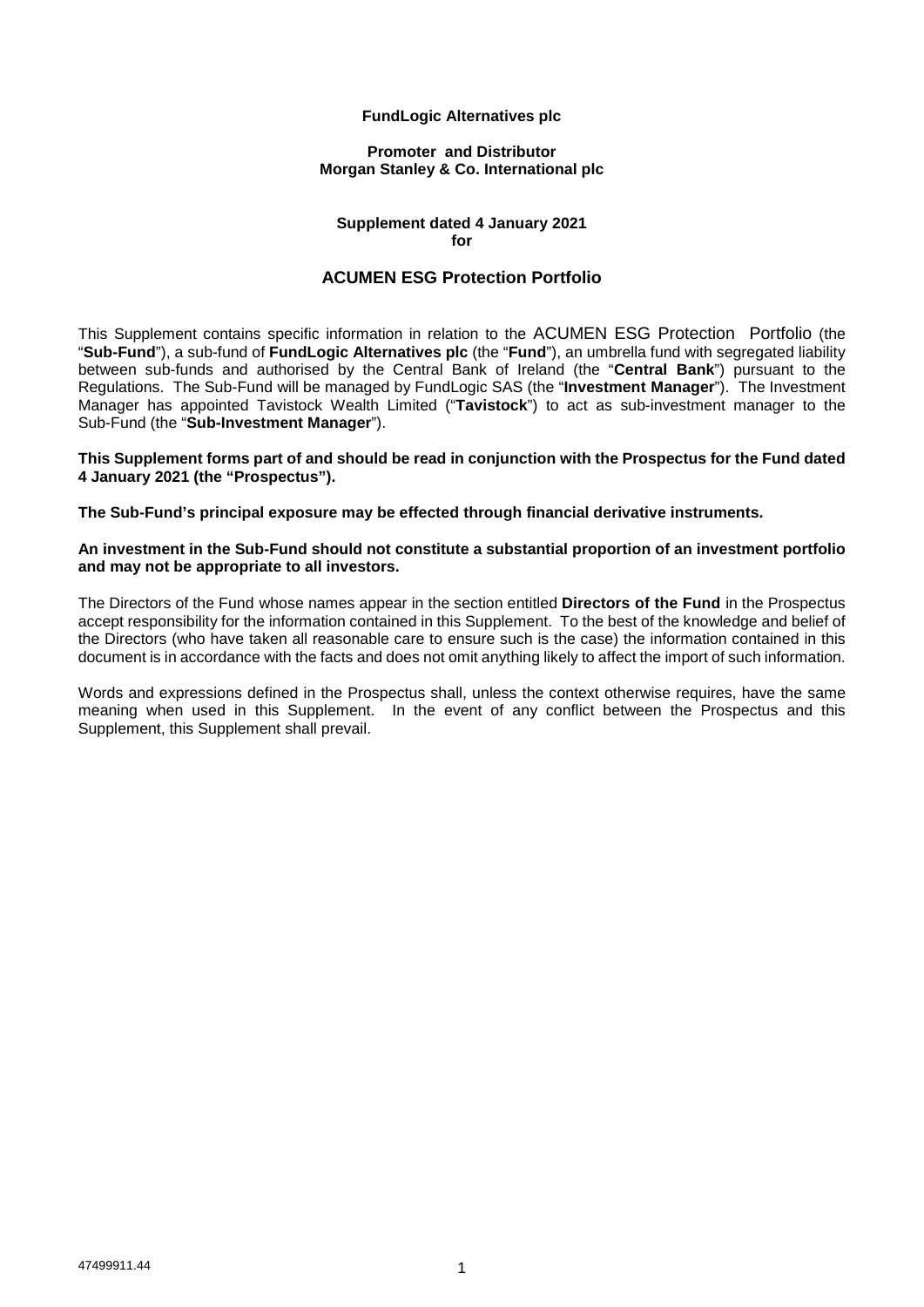## **FundLogic Alternatives plc**

#### **Promoter and Distributor Morgan Stanley & Co. International plc**

#### **Supplement dated 4 January 2021 for**

# **ACUMEN ESG Protection Portfolio**

This Supplement contains specific information in relation to the ACUMEN ESG Protection Portfolio (the "**Sub-Fund**"), a sub-fund of **FundLogic Alternatives plc** (the "**Fund**"), an umbrella fund with segregated liability between sub-funds and authorised by the Central Bank of Ireland (the "**Central Bank**") pursuant to the Regulations. The Sub-Fund will be managed by FundLogic SAS (the "**Investment Manager**"). The Investment Manager has appointed Tavistock Wealth Limited ("**Tavistock**") to act as sub-investment manager to the Sub-Fund (the "**Sub-Investment Manager**").

**This Supplement forms part of and should be read in conjunction with the Prospectus for the Fund dated 4 January 2021 (the "Prospectus").**

**The Sub-Fund's principal exposure may be effected through financial derivative instruments.** 

### **An investment in the Sub-Fund should not constitute a substantial proportion of an investment portfolio and may not be appropriate to all investors.**

The Directors of the Fund whose names appear in the section entitled **Directors of the Fund** in the Prospectus accept responsibility for the information contained in this Supplement. To the best of the knowledge and belief of the Directors (who have taken all reasonable care to ensure such is the case) the information contained in this document is in accordance with the facts and does not omit anything likely to affect the import of such information.

Words and expressions defined in the Prospectus shall, unless the context otherwise requires, have the same meaning when used in this Supplement. In the event of any conflict between the Prospectus and this Supplement, this Supplement shall prevail.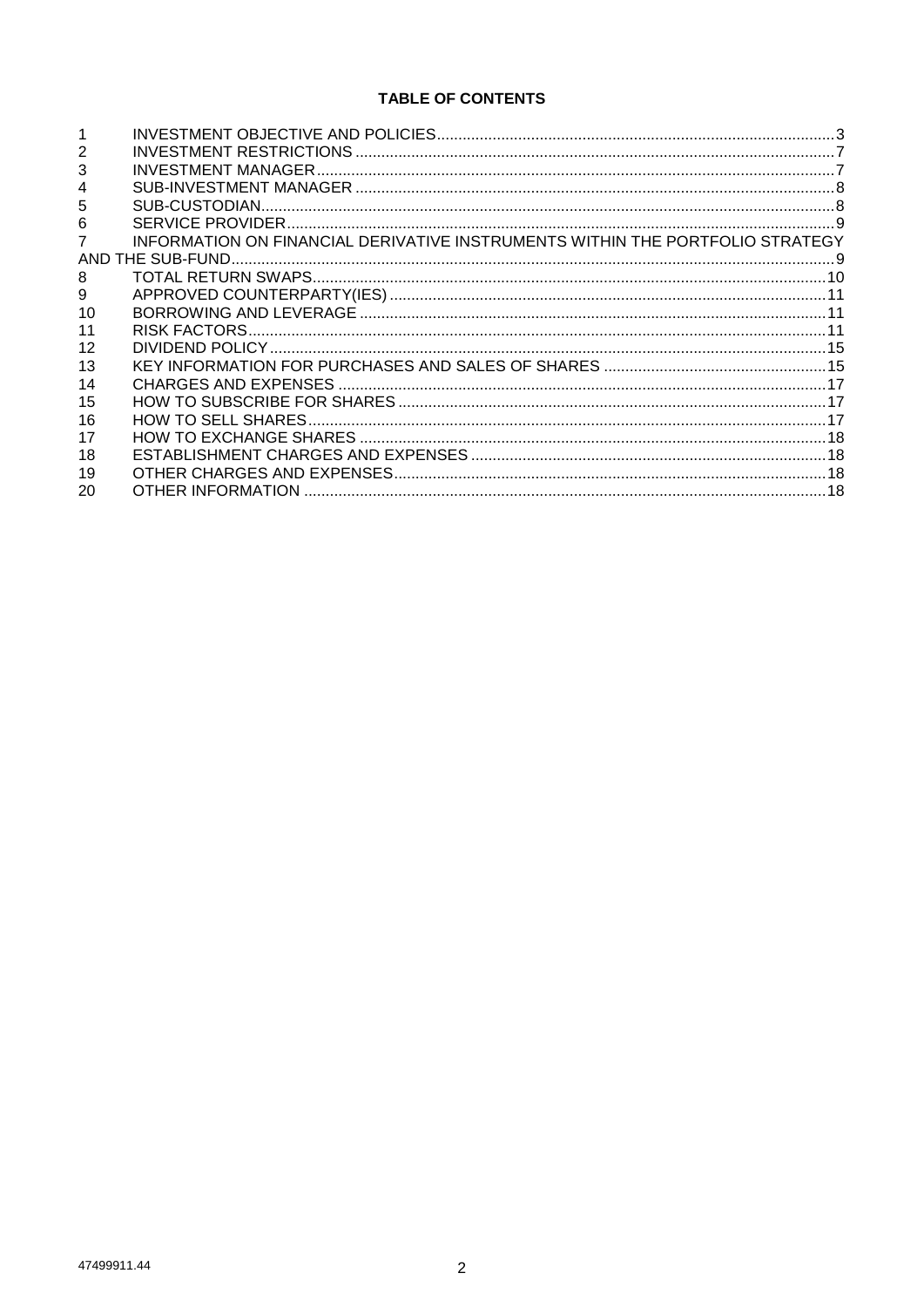# **TABLE OF CONTENTS**

| 3  | <b>INVESTMENT MANAGER</b>                                                     |  |
|----|-------------------------------------------------------------------------------|--|
| 4  |                                                                               |  |
| 5  |                                                                               |  |
| 6  |                                                                               |  |
|    | INFORMATION ON FINANCIAL DERIVATIVE INSTRUMENTS WITHIN THE PORTFOLIO STRATEGY |  |
|    |                                                                               |  |
| 8  |                                                                               |  |
| 9  |                                                                               |  |
| 10 |                                                                               |  |
| 11 |                                                                               |  |
| 12 |                                                                               |  |
| 13 |                                                                               |  |
| 14 |                                                                               |  |
| 15 |                                                                               |  |
| 16 | HOW TO SELL SHARES.                                                           |  |
| 17 |                                                                               |  |
| 18 |                                                                               |  |
| 19 |                                                                               |  |
| 20 | OTHER INFORMATION                                                             |  |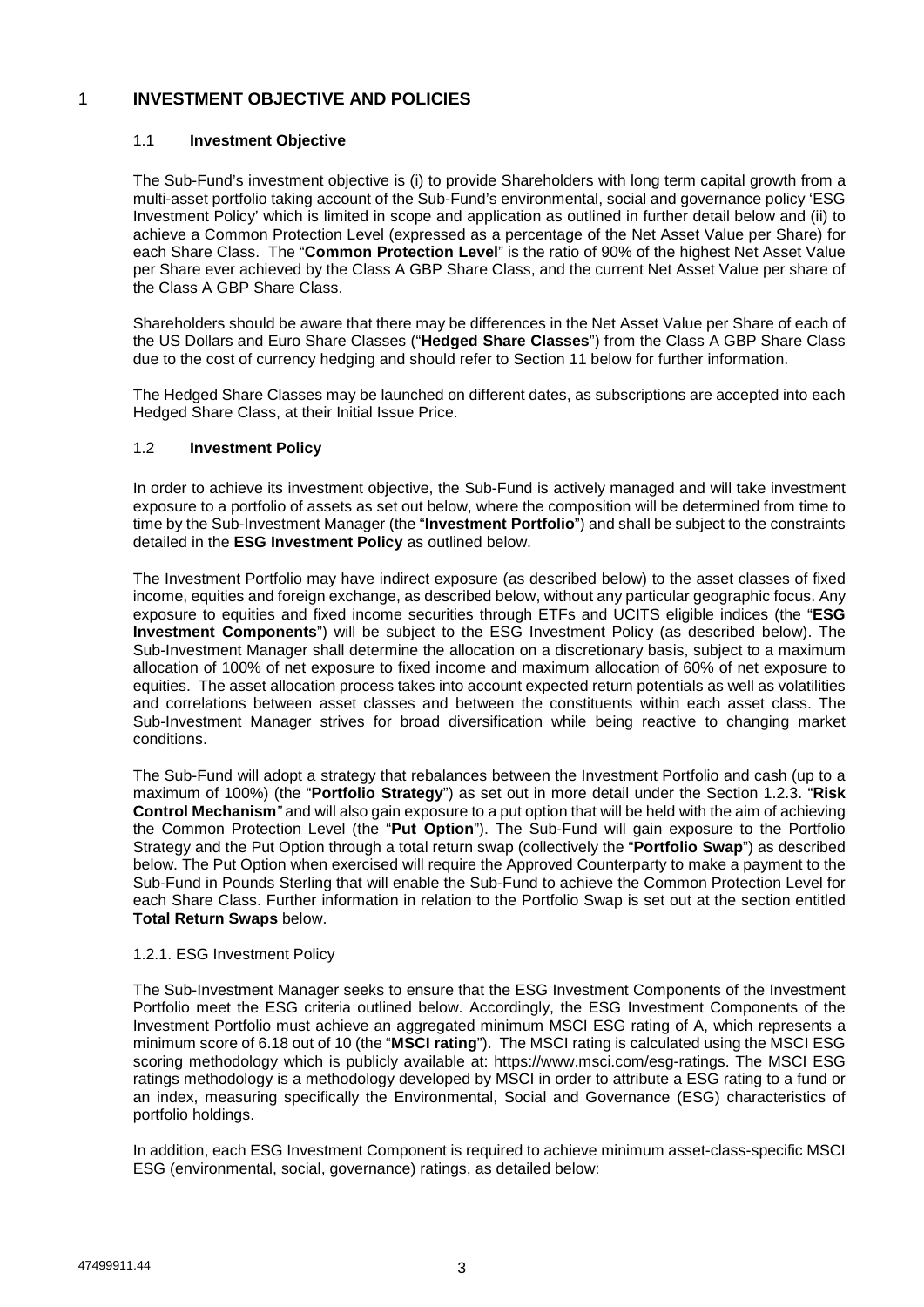# 1 **INVESTMENT OBJECTIVE AND POLICIES**

## 1.1 **Investment Objective**

The Sub-Fund's investment objective is (i) to provide Shareholders with long term capital growth from a multi-asset portfolio taking account of the Sub-Fund's environmental, social and governance policy 'ESG Investment Policy' which is limited in scope and application as outlined in further detail below and (ii) to achieve a Common Protection Level (expressed as a percentage of the Net Asset Value per Share) for each Share Class. The "**Common Protection Level**" is the ratio of 90% of the highest Net Asset Value per Share ever achieved by the Class A GBP Share Class, and the current Net Asset Value per share of the Class A GBP Share Class.

Shareholders should be aware that there may be differences in the Net Asset Value per Share of each of the US Dollars and Euro Share Classes ("**Hedged Share Classes**") from the Class A GBP Share Class due to the cost of currency hedging and should refer to Section 11 below for further information.

The Hedged Share Classes may be launched on different dates, as subscriptions are accepted into each Hedged Share Class, at their Initial Issue Price.

## 1.2 **Investment Policy**

In order to achieve its investment objective, the Sub-Fund is actively managed and will take investment exposure to a portfolio of assets as set out below, where the composition will be determined from time to time by the Sub-Investment Manager (the "**Investment Portfolio**") and shall be subject to the constraints detailed in the **ESG Investment Policy** as outlined below.

The Investment Portfolio may have indirect exposure (as described below) to the asset classes of fixed income, equities and foreign exchange, as described below, without any particular geographic focus. Any exposure to equities and fixed income securities through ETFs and UCITS eligible indices (the "**ESG Investment Components**") will be subject to the ESG Investment Policy (as described below). The Sub-Investment Manager shall determine the allocation on a discretionary basis, subject to a maximum allocation of 100% of net exposure to fixed income and maximum allocation of 60% of net exposure to equities. The asset allocation process takes into account expected return potentials as well as volatilities and correlations between asset classes and between the constituents within each asset class. The Sub-Investment Manager strives for broad diversification while being reactive to changing market conditions.

The Sub-Fund will adopt a strategy that rebalances between the Investment Portfolio and cash (up to a maximum of 100%) (the "**Portfolio Strategy**") as set out in more detail under the Section 1.2.3. "**Risk Control Mechanism***"* and will also gain exposure to a put option that will be held with the aim of achieving the Common Protection Level (the "**Put Option**"). The Sub-Fund will gain exposure to the Portfolio Strategy and the Put Option through a total return swap (collectively the "**Portfolio Swap**") as described below. The Put Option when exercised will require the Approved Counterparty to make a payment to the Sub-Fund in Pounds Sterling that will enable the Sub-Fund to achieve the Common Protection Level for each Share Class. Further information in relation to the Portfolio Swap is set out at the section entitled **Total Return Swaps** below.

#### 1.2.1. ESG Investment Policy

The Sub-Investment Manager seeks to ensure that the ESG Investment Components of the Investment Portfolio meet the ESG criteria outlined below. Accordingly, the ESG Investment Components of the Investment Portfolio must achieve an aggregated minimum MSCI ESG rating of A, which represents a minimum score of 6.18 out of 10 (the "**MSCI rating**"). The MSCI rating is calculated using the MSCI ESG scoring methodology which is publicly available at: https://www.msci.com/esg-ratings. The MSCI ESG ratings methodology is a methodology developed by MSCI in order to attribute a ESG rating to a fund or an index, measuring specifically the Environmental, Social and Governance (ESG) characteristics of portfolio holdings.

In addition, each ESG Investment Component is required to achieve minimum asset-class-specific MSCI ESG (environmental, social, governance) ratings, as detailed below: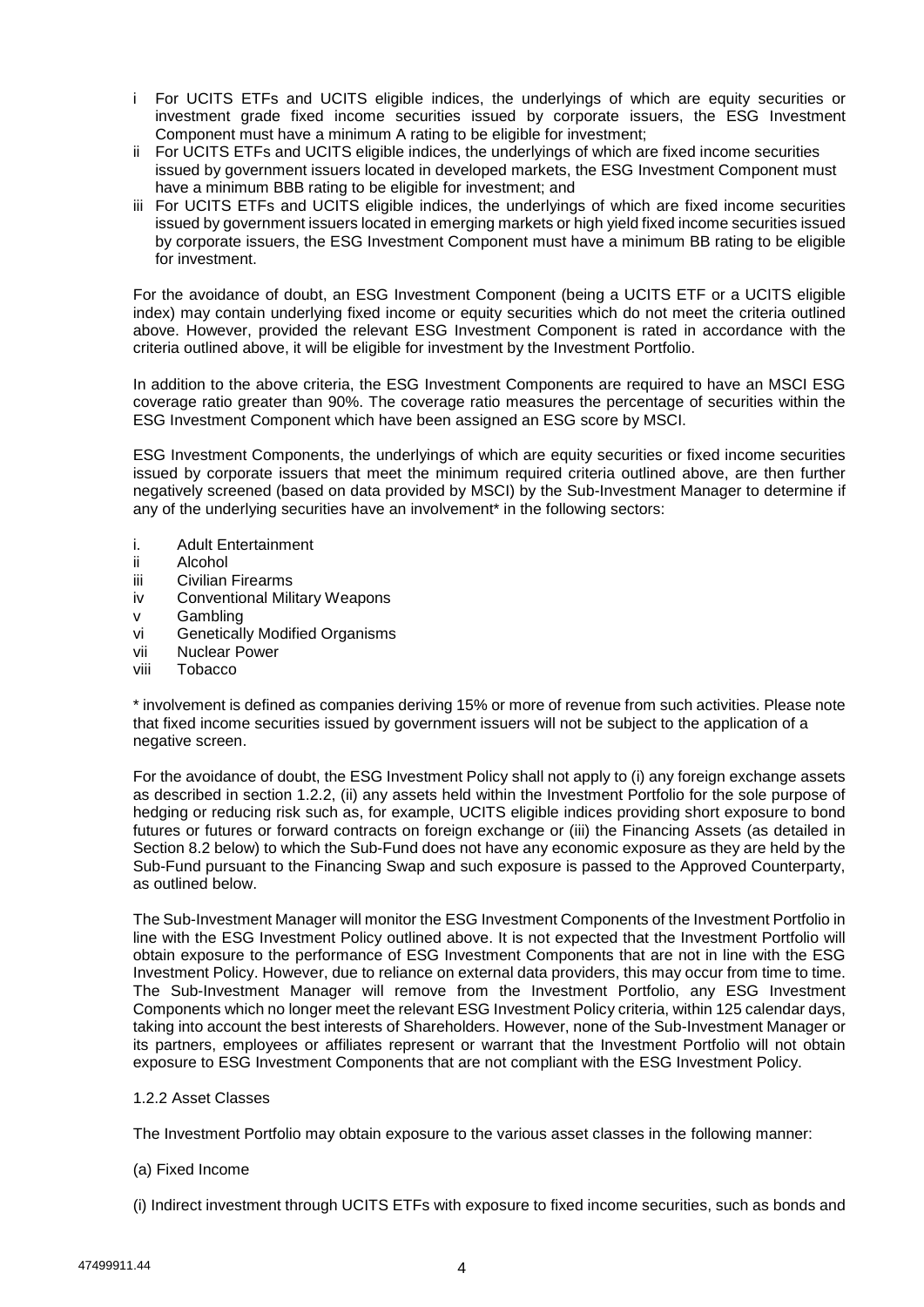- i For UCITS ETFs and UCITS eligible indices, the underlyings of which are equity securities or investment grade fixed income securities issued by corporate issuers, the ESG Investment Component must have a minimum A rating to be eligible for investment;
- ii For UCITS ETFs and UCITS eligible indices, the underlyings of which are fixed income securities issued by government issuers located in developed markets, the ESG Investment Component must have a minimum BBB rating to be eligible for investment; and
- iii For UCITS ETFs and UCITS eligible indices, the underlyings of which are fixed income securities issued by government issuers located in emerging markets or high yield fixed income securities issued by corporate issuers, the ESG Investment Component must have a minimum BB rating to be eligible for investment.

For the avoidance of doubt, an ESG Investment Component (being a UCITS ETF or a UCITS eligible index) may contain underlying fixed income or equity securities which do not meet the criteria outlined above. However, provided the relevant ESG Investment Component is rated in accordance with the criteria outlined above, it will be eligible for investment by the Investment Portfolio.

In addition to the above criteria, the ESG Investment Components are required to have an MSCI ESG coverage ratio greater than 90%. The coverage ratio measures the percentage of securities within the ESG Investment Component which have been assigned an ESG score by MSCI.

ESG Investment Components, the underlyings of which are equity securities or fixed income securities issued by corporate issuers that meet the minimum required criteria outlined above, are then further negatively screened (based on data provided by MSCI) by the Sub-Investment Manager to determine if any of the underlying securities have an involvement\* in the following sectors:

- i. Adult Entertainment
- ii Alcohol
- iii Civilian Firearms
- iv Conventional Military Weapons
- v Gambling
- vi Genetically Modified Organisms
- vii Nuclear Power
- viii Tobacco

\* involvement is defined as companies deriving 15% or more of revenue from such activities. Please note that fixed income securities issued by government issuers will not be subject to the application of a negative screen.

For the avoidance of doubt, the ESG Investment Policy shall not apply to (i) any foreign exchange assets as described in section 1.2.2, (ii) any assets held within the Investment Portfolio for the sole purpose of hedging or reducing risk such as, for example, UCITS eligible indices providing short exposure to bond futures or futures or forward contracts on foreign exchange or (iii) the Financing Assets (as detailed in Section 8.2 below) to which the Sub-Fund does not have any economic exposure as they are held by the Sub-Fund pursuant to the Financing Swap and such exposure is passed to the Approved Counterparty, as outlined below.

The Sub-Investment Manager will monitor the ESG Investment Components of the Investment Portfolio in line with the ESG Investment Policy outlined above. It is not expected that the Investment Portfolio will obtain exposure to the performance of ESG Investment Components that are not in line with the ESG Investment Policy. However, due to reliance on external data providers, this may occur from time to time. The Sub-Investment Manager will remove from the Investment Portfolio, any ESG Investment Components which no longer meet the relevant ESG Investment Policy criteria, within 125 calendar days, taking into account the best interests of Shareholders. However, none of the Sub-Investment Manager or its partners, employees or affiliates represent or warrant that the Investment Portfolio will not obtain exposure to ESG Investment Components that are not compliant with the ESG Investment Policy.

1.2.2 Asset Classes

The Investment Portfolio may obtain exposure to the various asset classes in the following manner:

## (a) Fixed Income

(i) Indirect investment through UCITS ETFs with exposure to fixed income securities, such as bonds and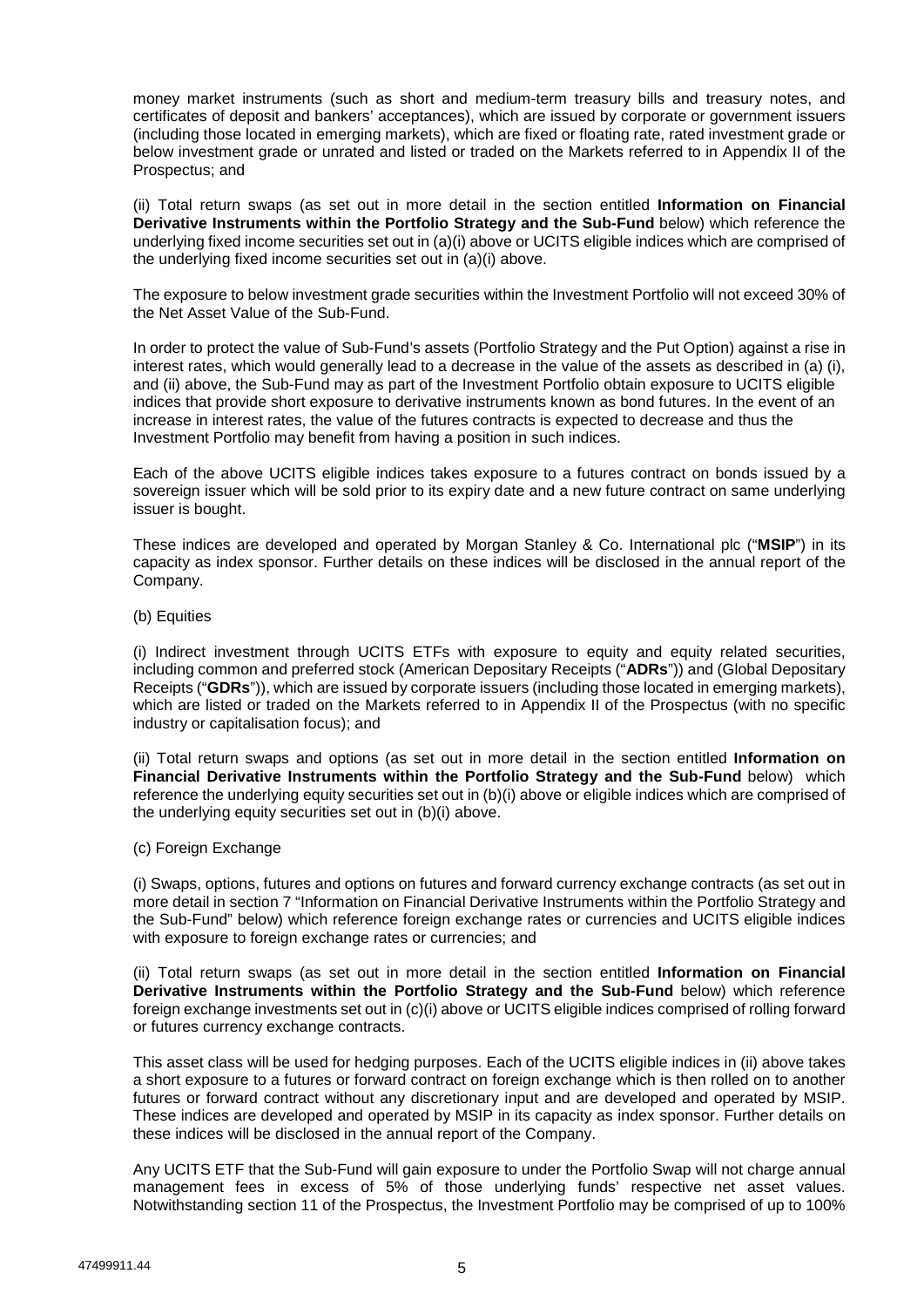money market instruments (such as short and medium-term treasury bills and treasury notes, and certificates of deposit and bankers' acceptances), which are issued by corporate or government issuers (including those located in emerging markets), which are fixed or floating rate, rated investment grade or below investment grade or unrated and listed or traded on the Markets referred to in Appendix II of the Prospectus; and

(ii) Total return swaps (as set out in more detail in the section entitled **Information on Financial Derivative Instruments within the Portfolio Strategy and the Sub-Fund** below) which reference the underlying fixed income securities set out in (a)(i) above or UCITS eligible indices which are comprised of the underlying fixed income securities set out in (a)(i) above.

The exposure to below investment grade securities within the Investment Portfolio will not exceed 30% of the Net Asset Value of the Sub-Fund.

In order to protect the value of Sub-Fund's assets (Portfolio Strategy and the Put Option) against a rise in interest rates, which would generally lead to a decrease in the value of the assets as described in (a) (i), and (ii) above, the Sub-Fund may as part of the Investment Portfolio obtain exposure to UCITS eligible indices that provide short exposure to derivative instruments known as bond futures. In the event of an increase in interest rates, the value of the futures contracts is expected to decrease and thus the Investment Portfolio may benefit from having a position in such indices.

Each of the above UCITS eligible indices takes exposure to a futures contract on bonds issued by a sovereign issuer which will be sold prior to its expiry date and a new future contract on same underlying issuer is bought.

These indices are developed and operated by Morgan Stanley & Co. International plc ("**MSIP**") in its capacity as index sponsor. Further details on these indices will be disclosed in the annual report of the Company.

(b) Equities

(i) Indirect investment through UCITS ETFs with exposure to equity and equity related securities, including common and preferred stock (American Depositary Receipts ("**ADRs**")) and (Global Depositary Receipts ("**GDRs**")), which are issued by corporate issuers (including those located in emerging markets), which are listed or traded on the Markets referred to in Appendix II of the Prospectus (with no specific industry or capitalisation focus); and

(ii) Total return swaps and options (as set out in more detail in the section entitled **Information on Financial Derivative Instruments within the Portfolio Strategy and the Sub-Fund** below) which reference the underlying equity securities set out in (b)(i) above or eligible indices which are comprised of the underlying equity securities set out in (b)(i) above.

(c) Foreign Exchange

(i) Swaps, options, futures and options on futures and forward currency exchange contracts (as set out in more detail in section 7 "Information on Financial Derivative Instruments within the Portfolio Strategy and the Sub-Fund" below) which reference foreign exchange rates or currencies and UCITS eligible indices with exposure to foreign exchange rates or currencies; and

(ii) Total return swaps (as set out in more detail in the section entitled **Information on Financial Derivative Instruments within the Portfolio Strategy and the Sub-Fund** below) which reference foreign exchange investments set out in (c)(i) above or UCITS eligible indices comprised of rolling forward or futures currency exchange contracts.

This asset class will be used for hedging purposes. Each of the UCITS eligible indices in (ii) above takes a short exposure to a futures or forward contract on foreign exchange which is then rolled on to another futures or forward contract without any discretionary input and are developed and operated by MSIP. These indices are developed and operated by MSIP in its capacity as index sponsor. Further details on these indices will be disclosed in the annual report of the Company.

Any UCITS ETF that the Sub-Fund will gain exposure to under the Portfolio Swap will not charge annual management fees in excess of 5% of those underlying funds' respective net asset values. Notwithstanding section 11 of the Prospectus, the Investment Portfolio may be comprised of up to 100%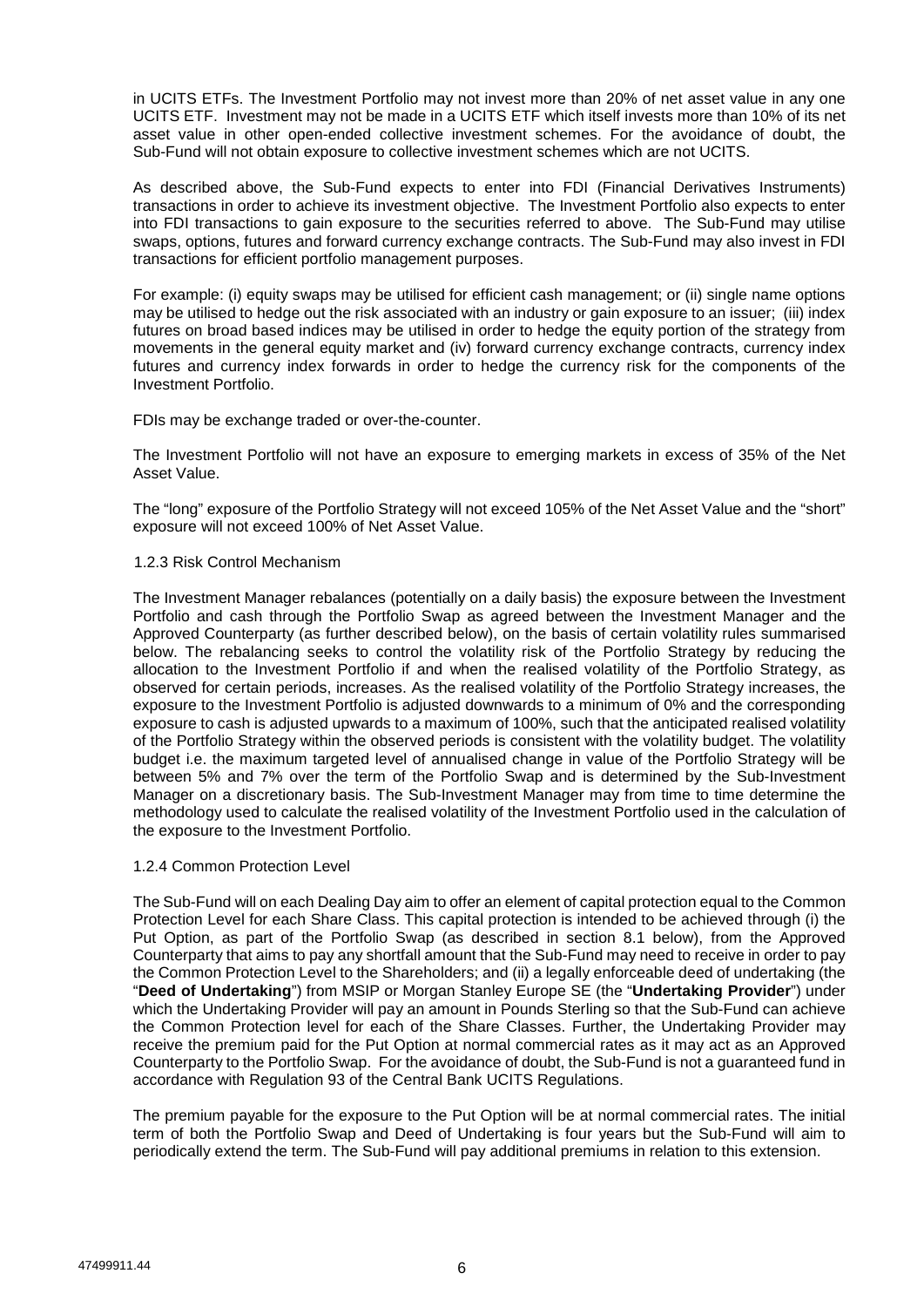in UCITS ETFs. The Investment Portfolio may not invest more than 20% of net asset value in any one UCITS ETF. Investment may not be made in a UCITS ETF which itself invests more than 10% of its net asset value in other open-ended collective investment schemes. For the avoidance of doubt, the Sub-Fund will not obtain exposure to collective investment schemes which are not UCITS.

As described above, the Sub-Fund expects to enter into FDI (Financial Derivatives Instruments) transactions in order to achieve its investment objective. The Investment Portfolio also expects to enter into FDI transactions to gain exposure to the securities referred to above. The Sub-Fund may utilise swaps, options, futures and forward currency exchange contracts. The Sub-Fund may also invest in FDI transactions for efficient portfolio management purposes.

For example: (i) equity swaps may be utilised for efficient cash management; or (ii) single name options may be utilised to hedge out the risk associated with an industry or gain exposure to an issuer; (iii) index futures on broad based indices may be utilised in order to hedge the equity portion of the strategy from movements in the general equity market and (iv) forward currency exchange contracts, currency index futures and currency index forwards in order to hedge the currency risk for the components of the Investment Portfolio.

FDIs may be exchange traded or over-the-counter.

The Investment Portfolio will not have an exposure to emerging markets in excess of 35% of the Net Asset Value.

The "long" exposure of the Portfolio Strategy will not exceed 105% of the Net Asset Value and the "short" exposure will not exceed 100% of Net Asset Value.

### 1.2.3 Risk Control Mechanism

The Investment Manager rebalances (potentially on a daily basis) the exposure between the Investment Portfolio and cash through the Portfolio Swap as agreed between the Investment Manager and the Approved Counterparty (as further described below), on the basis of certain volatility rules summarised below. The rebalancing seeks to control the volatility risk of the Portfolio Strategy by reducing the allocation to the Investment Portfolio if and when the realised volatility of the Portfolio Strategy, as observed for certain periods, increases. As the realised volatility of the Portfolio Strategy increases, the exposure to the Investment Portfolio is adjusted downwards to a minimum of 0% and the corresponding exposure to cash is adjusted upwards to a maximum of 100%, such that the anticipated realised volatility of the Portfolio Strategy within the observed periods is consistent with the volatility budget. The volatility budget i.e. the maximum targeted level of annualised change in value of the Portfolio Strategy will be between 5% and 7% over the term of the Portfolio Swap and is determined by the Sub-Investment Manager on a discretionary basis. The Sub-Investment Manager may from time to time determine the methodology used to calculate the realised volatility of the Investment Portfolio used in the calculation of the exposure to the Investment Portfolio.

#### 1.2.4 Common Protection Level

The Sub-Fund will on each Dealing Day aim to offer an element of capital protection equal to the Common Protection Level for each Share Class. This capital protection is intended to be achieved through (i) the Put Option, as part of the Portfolio Swap (as described in section 8.1 below), from the Approved Counterparty that aims to pay any shortfall amount that the Sub-Fund may need to receive in order to pay the Common Protection Level to the Shareholders; and (ii) a legally enforceable deed of undertaking (the "**Deed of Undertaking**") from MSIP or Morgan Stanley Europe SE (the "**Undertaking Provider**") under which the Undertaking Provider will pay an amount in Pounds Sterling so that the Sub-Fund can achieve the Common Protection level for each of the Share Classes. Further, the Undertaking Provider may receive the premium paid for the Put Option at normal commercial rates as it may act as an Approved Counterparty to the Portfolio Swap. For the avoidance of doubt, the Sub-Fund is not a guaranteed fund in accordance with Regulation 93 of the Central Bank UCITS Regulations.

The premium payable for the exposure to the Put Option will be at normal commercial rates. The initial term of both the Portfolio Swap and Deed of Undertaking is four years but the Sub-Fund will aim to periodically extend the term. The Sub-Fund will pay additional premiums in relation to this extension.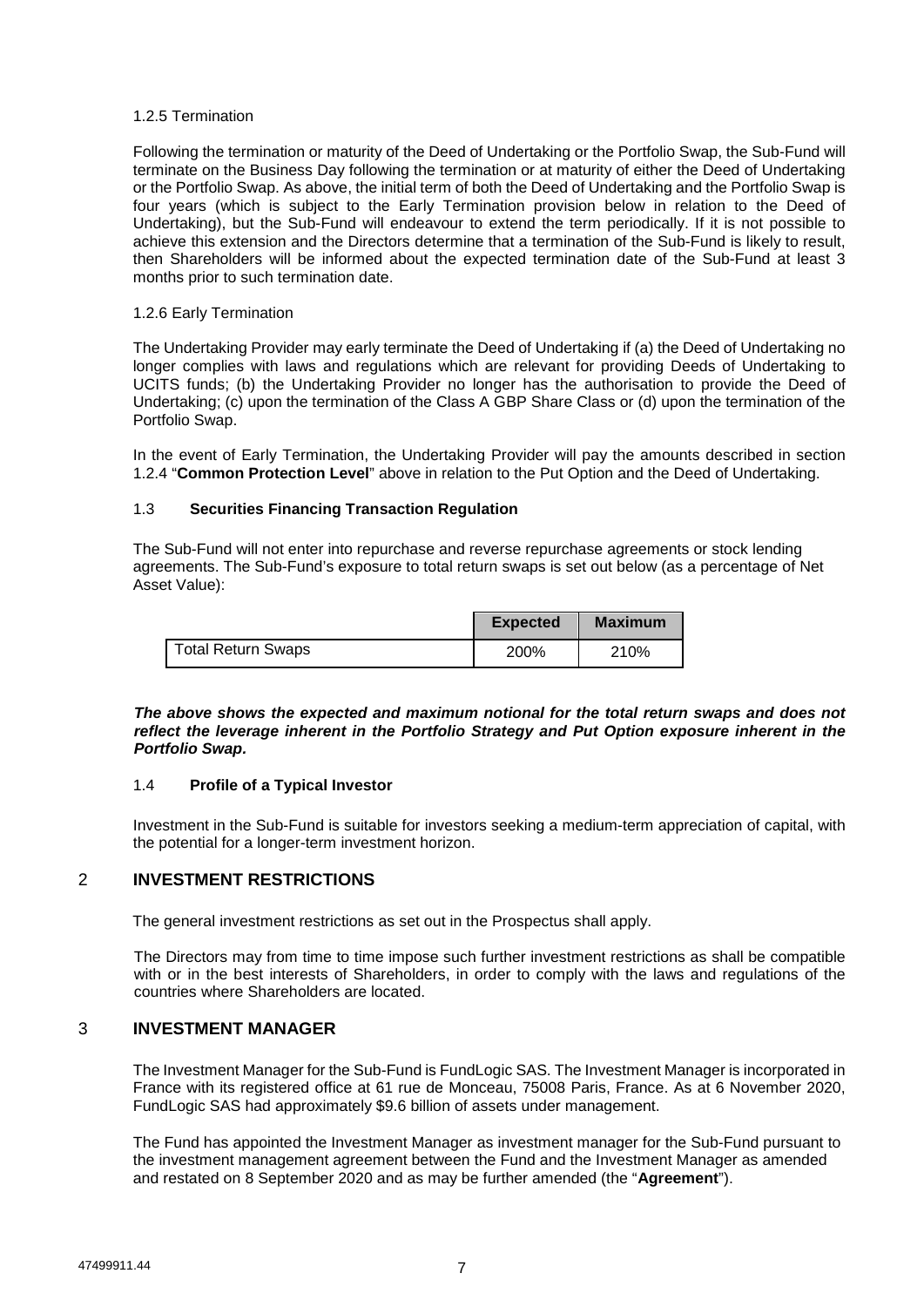## 1.2.5 Termination

Following the termination or maturity of the Deed of Undertaking or the Portfolio Swap, the Sub-Fund will terminate on the Business Day following the termination or at maturity of either the Deed of Undertaking or the Portfolio Swap. As above, the initial term of both the Deed of Undertaking and the Portfolio Swap is four years (which is subject to the Early Termination provision below in relation to the Deed of Undertaking), but the Sub-Fund will endeavour to extend the term periodically. If it is not possible to achieve this extension and the Directors determine that a termination of the Sub-Fund is likely to result, then Shareholders will be informed about the expected termination date of the Sub-Fund at least 3 months prior to such termination date.

### 1.2.6 Early Termination

The Undertaking Provider may early terminate the Deed of Undertaking if (a) the Deed of Undertaking no longer complies with laws and regulations which are relevant for providing Deeds of Undertaking to UCITS funds; (b) the Undertaking Provider no longer has the authorisation to provide the Deed of Undertaking; (c) upon the termination of the Class A GBP Share Class or (d) upon the termination of the Portfolio Swap.

In the event of Early Termination, the Undertaking Provider will pay the amounts described in section 1.2.4 "**Common Protection Level**" above in relation to the Put Option and the Deed of Undertaking.

## 1.3 **Securities Financing Transaction Regulation**

The Sub-Fund will not enter into repurchase and reverse repurchase agreements or stock lending agreements. The Sub-Fund's exposure to total return swaps is set out below (as a percentage of Net Asset Value):

|                    | <b>Expected</b> | <b>Maximum</b> |
|--------------------|-----------------|----------------|
| Total Return Swaps | 200%            | 210%           |

### *The above shows the expected and maximum notional for the total return swaps and does not reflect the leverage inherent in the Portfolio Strategy and Put Option exposure inherent in the Portfolio Swap.*

## 1.4 **Profile of a Typical Investor**

Investment in the Sub-Fund is suitable for investors seeking a medium-term appreciation of capital, with the potential for a longer-term investment horizon.

# 2 **INVESTMENT RESTRICTIONS**

The general investment restrictions as set out in the Prospectus shall apply.

The Directors may from time to time impose such further investment restrictions as shall be compatible with or in the best interests of Shareholders, in order to comply with the laws and regulations of the countries where Shareholders are located.

# 3 **INVESTMENT MANAGER**

The Investment Manager for the Sub-Fund is FundLogic SAS. The Investment Manager is incorporated in France with its registered office at 61 rue de Monceau, 75008 Paris, France. As at 6 November 2020, FundLogic SAS had approximately \$9.6 billion of assets under management.

The Fund has appointed the Investment Manager as investment manager for the Sub-Fund pursuant to the investment management agreement between the Fund and the Investment Manager as amended and restated on 8 September 2020 and as may be further amended (the "**Agreement**").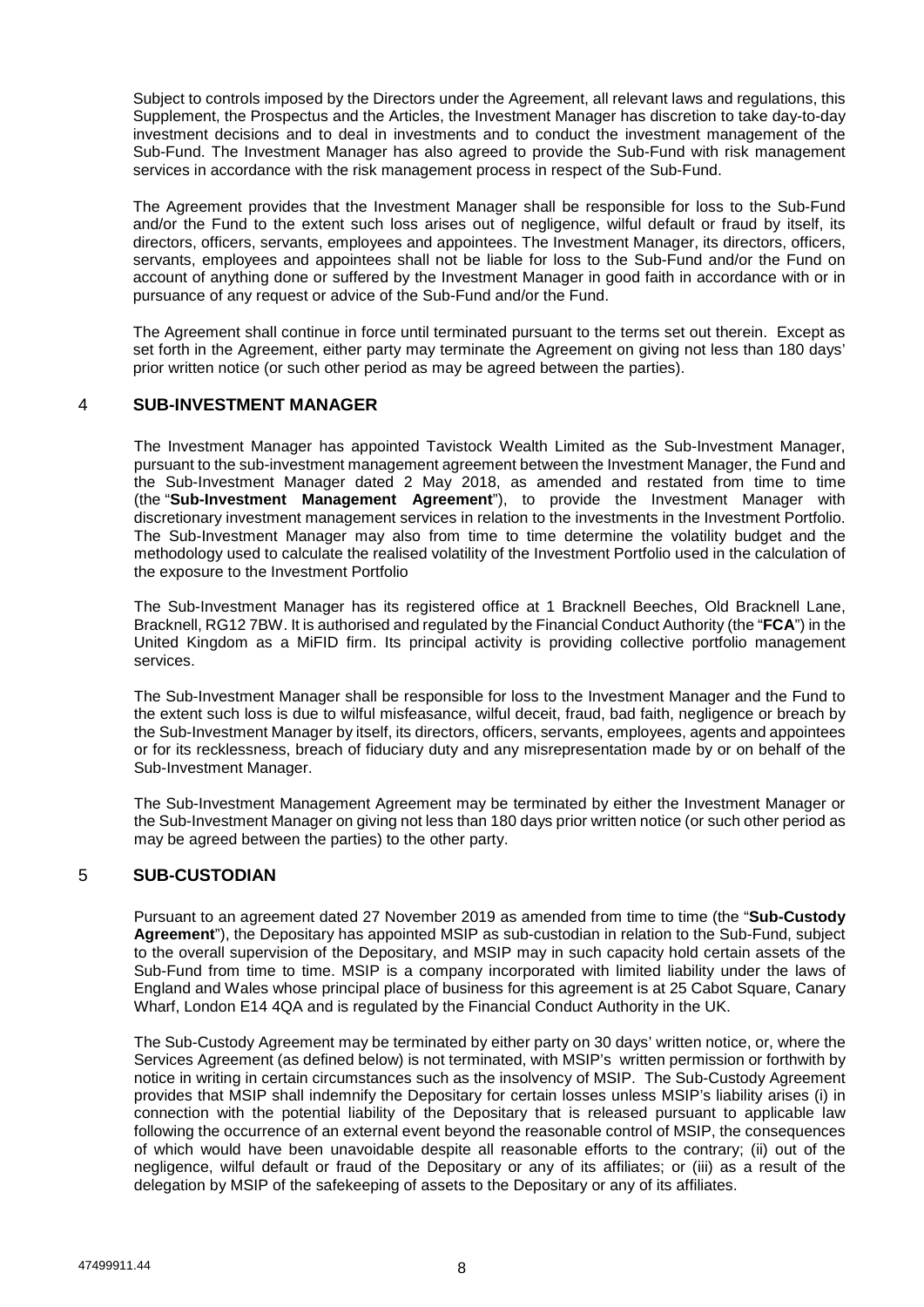Subject to controls imposed by the Directors under the Agreement, all relevant laws and regulations, this Supplement, the Prospectus and the Articles, the Investment Manager has discretion to take day-to-day investment decisions and to deal in investments and to conduct the investment management of the Sub-Fund. The Investment Manager has also agreed to provide the Sub-Fund with risk management services in accordance with the risk management process in respect of the Sub-Fund.

The Agreement provides that the Investment Manager shall be responsible for loss to the Sub-Fund and/or the Fund to the extent such loss arises out of negligence, wilful default or fraud by itself, its directors, officers, servants, employees and appointees. The Investment Manager, its directors, officers, servants, employees and appointees shall not be liable for loss to the Sub-Fund and/or the Fund on account of anything done or suffered by the Investment Manager in good faith in accordance with or in pursuance of any request or advice of the Sub-Fund and/or the Fund.

The Agreement shall continue in force until terminated pursuant to the terms set out therein. Except as set forth in the Agreement, either party may terminate the Agreement on giving not less than 180 days' prior written notice (or such other period as may be agreed between the parties).

# 4 **SUB-INVESTMENT MANAGER**

The Investment Manager has appointed Tavistock Wealth Limited as the Sub-Investment Manager, pursuant to the sub-investment management agreement between the Investment Manager, the Fund and the Sub-Investment Manager dated 2 May 2018, as amended and restated from time to time (the "**Sub-Investment Management Agreement**"), to provide the Investment Manager with discretionary investment management services in relation to the investments in the Investment Portfolio. The Sub-Investment Manager may also from time to time determine the volatility budget and the methodology used to calculate the realised volatility of the Investment Portfolio used in the calculation of the exposure to the Investment Portfolio

The Sub-Investment Manager has its registered office at 1 Bracknell Beeches, Old Bracknell Lane, Bracknell, RG12 7BW. It is authorised and regulated by the Financial Conduct Authority (the "**FCA**") in the United Kingdom as a MiFID firm. Its principal activity is providing collective portfolio management services.

The Sub-Investment Manager shall be responsible for loss to the Investment Manager and the Fund to the extent such loss is due to wilful misfeasance, wilful deceit, fraud, bad faith, negligence or breach by the Sub-Investment Manager by itself, its directors, officers, servants, employees, agents and appointees or for its recklessness, breach of fiduciary duty and any misrepresentation made by or on behalf of the Sub-Investment Manager.

The Sub-Investment Management Agreement may be terminated by either the Investment Manager or the Sub-Investment Manager on giving not less than 180 days prior written notice (or such other period as may be agreed between the parties) to the other party.

# 5 **SUB-CUSTODIAN**

Pursuant to an agreement dated 27 November 2019 as amended from time to time (the "**Sub-Custody Agreement**"), the Depositary has appointed MSIP as sub-custodian in relation to the Sub-Fund, subject to the overall supervision of the Depositary, and MSIP may in such capacity hold certain assets of the Sub-Fund from time to time. MSIP is a company incorporated with limited liability under the laws of England and Wales whose principal place of business for this agreement is at 25 Cabot Square, Canary Wharf, London E14 4QA and is regulated by the Financial Conduct Authority in the UK.

The Sub-Custody Agreement may be terminated by either party on 30 days' written notice, or, where the Services Agreement (as defined below) is not terminated, with MSIP's written permission or forthwith by notice in writing in certain circumstances such as the insolvency of MSIP. The Sub-Custody Agreement provides that MSIP shall indemnify the Depositary for certain losses unless MSIP's liability arises (i) in connection with the potential liability of the Depositary that is released pursuant to applicable law following the occurrence of an external event beyond the reasonable control of MSIP, the consequences of which would have been unavoidable despite all reasonable efforts to the contrary; (ii) out of the negligence, wilful default or fraud of the Depositary or any of its affiliates; or (iii) as a result of the delegation by MSIP of the safekeeping of assets to the Depositary or any of its affiliates.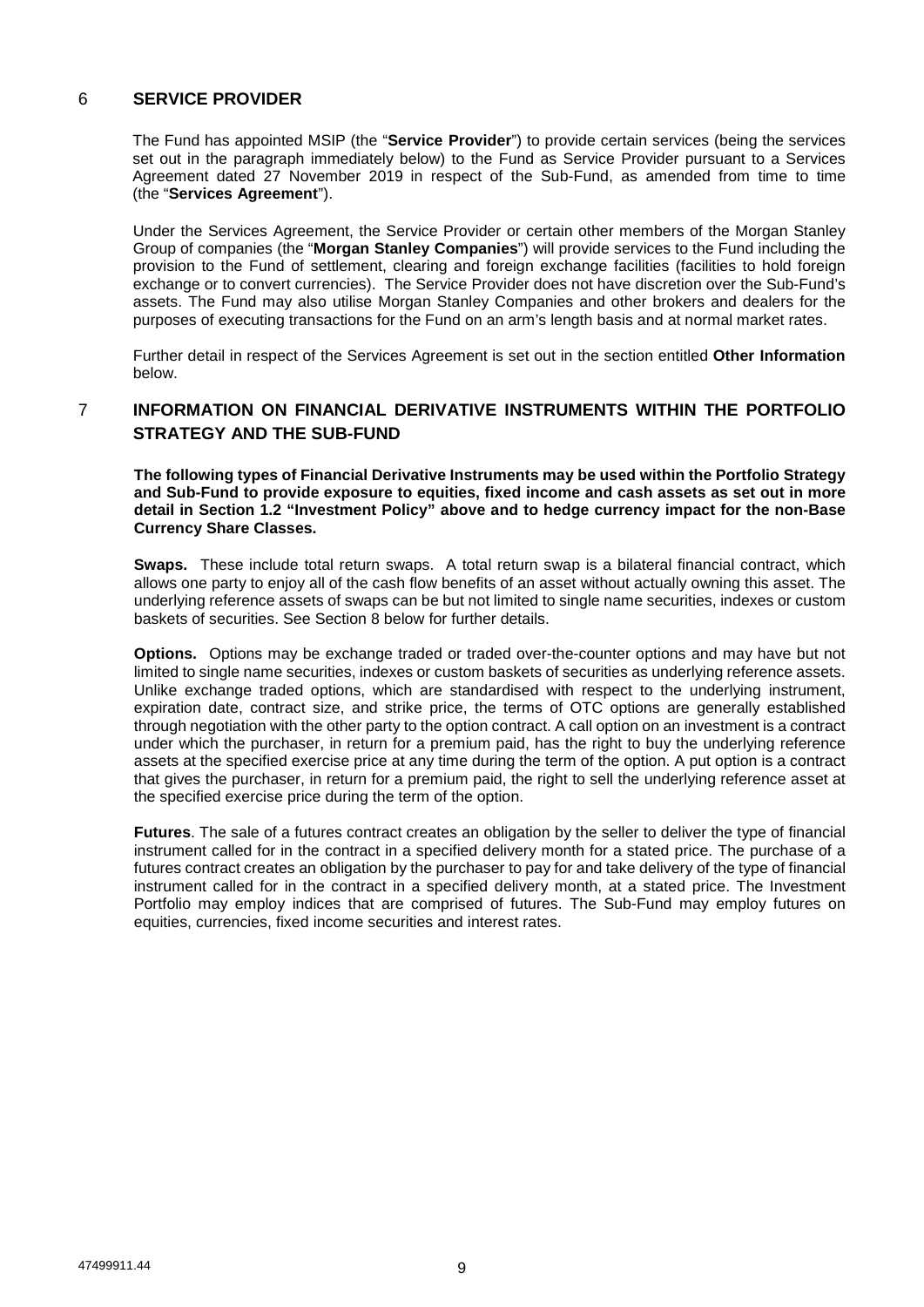# 6 **SERVICE PROVIDER**

The Fund has appointed MSIP (the "**Service Provider**") to provide certain services (being the services set out in the paragraph immediately below) to the Fund as Service Provider pursuant to a Services Agreement dated 27 November 2019 in respect of the Sub-Fund, as amended from time to time (the "**Services Agreement**").

Under the Services Agreement, the Service Provider or certain other members of the Morgan Stanley Group of companies (the "**Morgan Stanley Companies**") will provide services to the Fund including the provision to the Fund of settlement, clearing and foreign exchange facilities (facilities to hold foreign exchange or to convert currencies). The Service Provider does not have discretion over the Sub-Fund's assets. The Fund may also utilise Morgan Stanley Companies and other brokers and dealers for the purposes of executing transactions for the Fund on an arm's length basis and at normal market rates.

Further detail in respect of the Services Agreement is set out in the section entitled **Other Information** below.

# 7 **INFORMATION ON FINANCIAL DERIVATIVE INSTRUMENTS WITHIN THE PORTFOLIO STRATEGY AND THE SUB-FUND**

**The following types of Financial Derivative Instruments may be used within the Portfolio Strategy and Sub-Fund to provide exposure to equities, fixed income and cash assets as set out in more detail in Section 1.2 "Investment Policy" above and to hedge currency impact for the non-Base Currency Share Classes.** 

**Swaps.** These include total return swaps. A total return swap is a bilateral financial contract, which allows one party to enjoy all of the cash flow benefits of an asset without actually owning this asset. The underlying reference assets of swaps can be but not limited to single name securities, indexes or custom baskets of securities. See Section 8 below for further details.

**Options.** Options may be exchange traded or traded over-the-counter options and may have but not limited to single name securities, indexes or custom baskets of securities as underlying reference assets. Unlike exchange traded options, which are standardised with respect to the underlying instrument, expiration date, contract size, and strike price, the terms of OTC options are generally established through negotiation with the other party to the option contract. A call option on an investment is a contract under which the purchaser, in return for a premium paid, has the right to buy the underlying reference assets at the specified exercise price at any time during the term of the option. A put option is a contract that gives the purchaser, in return for a premium paid, the right to sell the underlying reference asset at the specified exercise price during the term of the option.

**Futures**. The sale of a futures contract creates an obligation by the seller to deliver the type of financial instrument called for in the contract in a specified delivery month for a stated price. The purchase of a futures contract creates an obligation by the purchaser to pay for and take delivery of the type of financial instrument called for in the contract in a specified delivery month, at a stated price. The Investment Portfolio may employ indices that are comprised of futures. The Sub-Fund may employ futures on equities, currencies, fixed income securities and interest rates.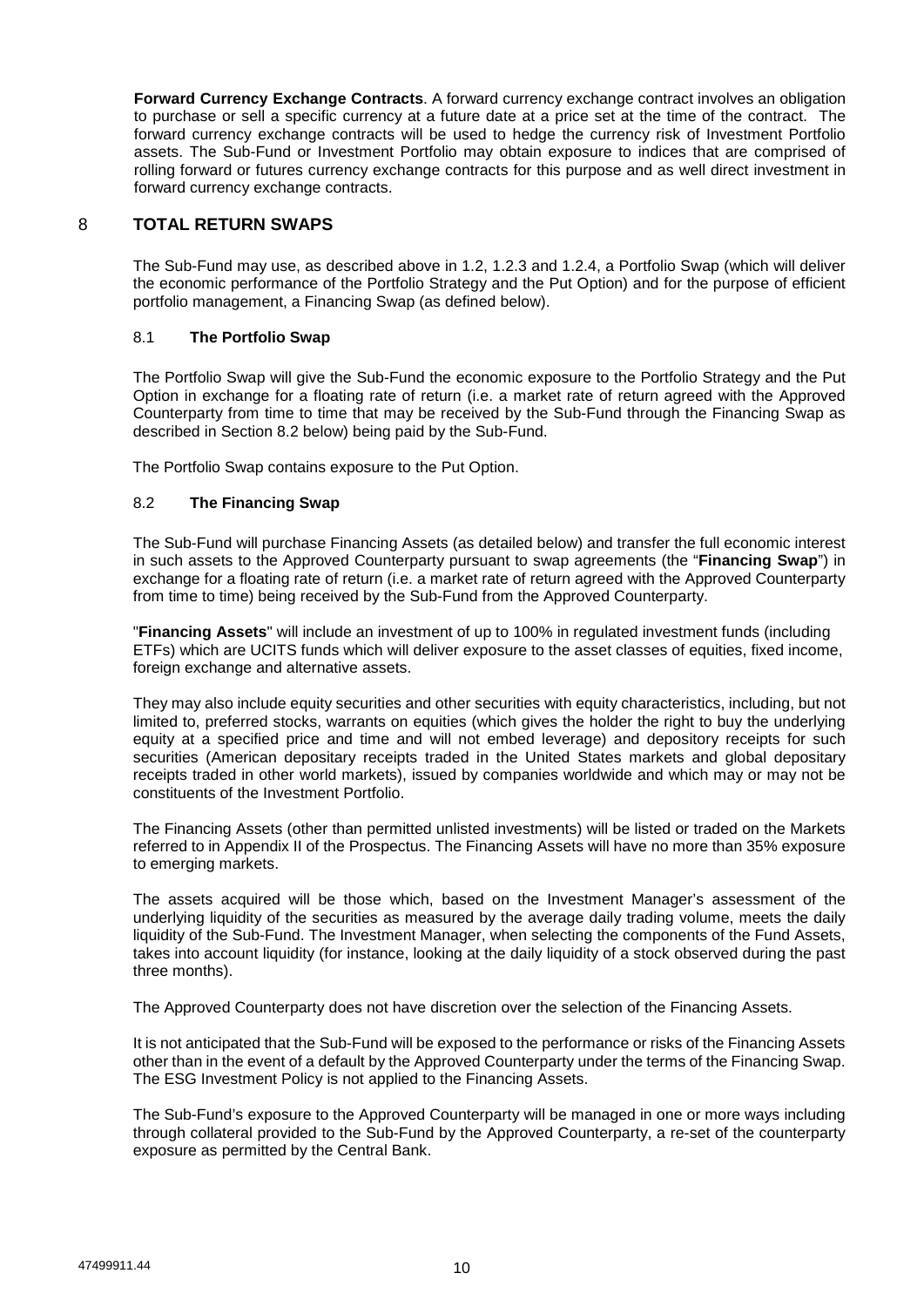**Forward Currency Exchange Contracts**. A forward currency exchange contract involves an obligation to purchase or sell a specific currency at a future date at a price set at the time of the contract. The forward currency exchange contracts will be used to hedge the currency risk of Investment Portfolio assets. The Sub-Fund or Investment Portfolio may obtain exposure to indices that are comprised of rolling forward or futures currency exchange contracts for this purpose and as well direct investment in forward currency exchange contracts.

## 8 **TOTAL RETURN SWAPS**

The Sub-Fund may use, as described above in 1.2, 1.2.3 and 1.2.4, a Portfolio Swap (which will deliver the economic performance of the Portfolio Strategy and the Put Option) and for the purpose of efficient portfolio management, a Financing Swap (as defined below).

## 8.1 **The Portfolio Swap**

The Portfolio Swap will give the Sub-Fund the economic exposure to the Portfolio Strategy and the Put Option in exchange for a floating rate of return (i.e. a market rate of return agreed with the Approved Counterparty from time to time that may be received by the Sub-Fund through the Financing Swap as described in Section 8.2 below) being paid by the Sub-Fund.

The Portfolio Swap contains exposure to the Put Option.

## 8.2 **The Financing Swap**

The Sub-Fund will purchase Financing Assets (as detailed below) and transfer the full economic interest in such assets to the Approved Counterparty pursuant to swap agreements (the "**Financing Swap**") in exchange for a floating rate of return (i.e. a market rate of return agreed with the Approved Counterparty from time to time) being received by the Sub-Fund from the Approved Counterparty.

"**Financing Assets**" will include an investment of up to 100% in regulated investment funds (including ETFs) which are UCITS funds which will deliver exposure to the asset classes of equities, fixed income, foreign exchange and alternative assets.

They may also include equity securities and other securities with equity characteristics, including, but not limited to, preferred stocks, warrants on equities (which gives the holder the right to buy the underlying equity at a specified price and time and will not embed leverage) and depository receipts for such securities (American depositary receipts traded in the United States markets and global depositary receipts traded in other world markets), issued by companies worldwide and which may or may not be constituents of the Investment Portfolio.

The Financing Assets (other than permitted unlisted investments) will be listed or traded on the Markets referred to in Appendix II of the Prospectus. The Financing Assets will have no more than 35% exposure to emerging markets.

The assets acquired will be those which, based on the Investment Manager's assessment of the underlying liquidity of the securities as measured by the average daily trading volume, meets the daily liquidity of the Sub-Fund. The Investment Manager, when selecting the components of the Fund Assets, takes into account liquidity (for instance, looking at the daily liquidity of a stock observed during the past three months).

The Approved Counterparty does not have discretion over the selection of the Financing Assets.

It is not anticipated that the Sub-Fund will be exposed to the performance or risks of the Financing Assets other than in the event of a default by the Approved Counterparty under the terms of the Financing Swap. The ESG Investment Policy is not applied to the Financing Assets.

The Sub-Fund's exposure to the Approved Counterparty will be managed in one or more ways including through collateral provided to the Sub-Fund by the Approved Counterparty, a re-set of the counterparty exposure as permitted by the Central Bank.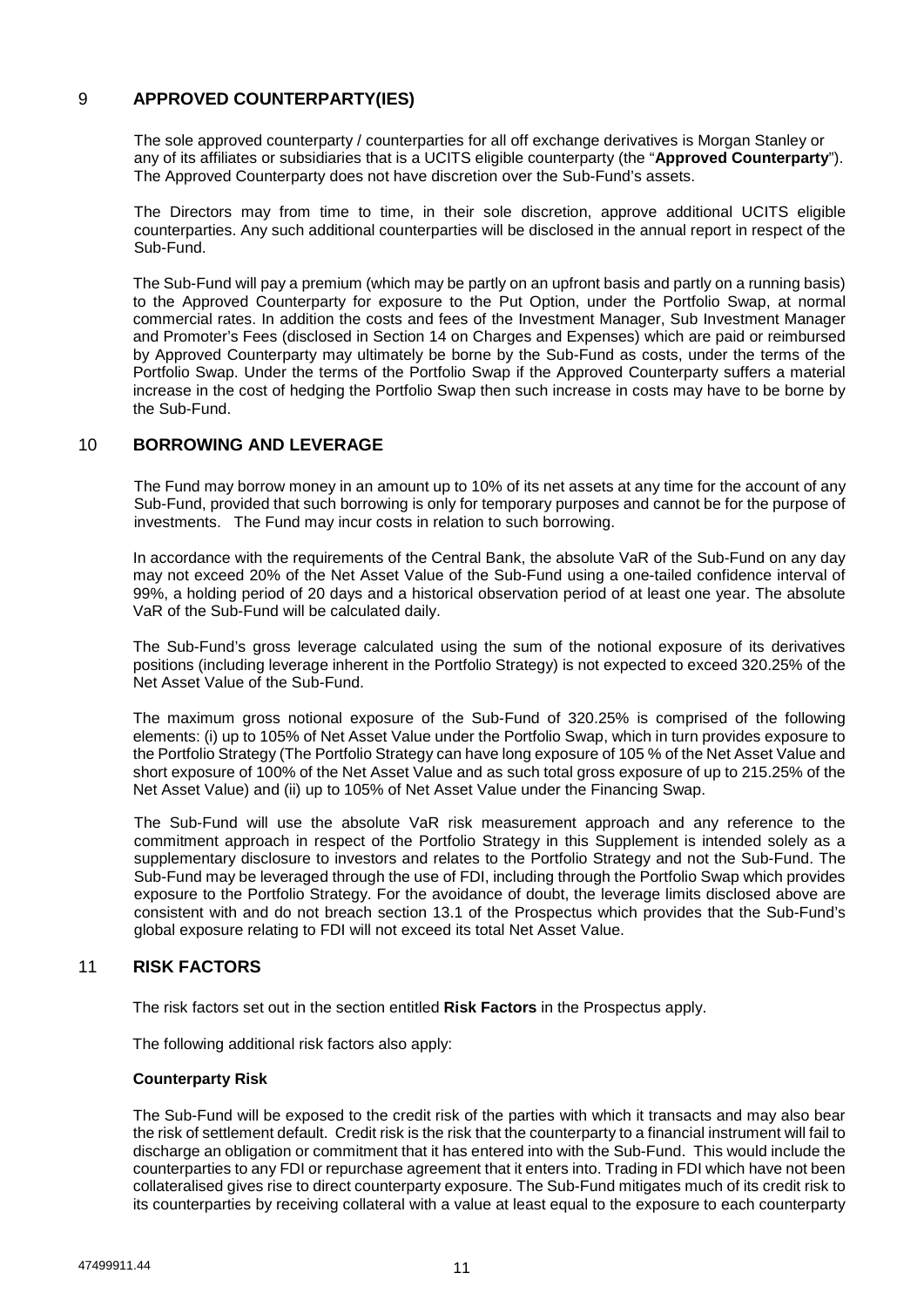# 9 **APPROVED COUNTERPARTY(IES)**

The sole approved counterparty / counterparties for all off exchange derivatives is Morgan Stanley or any of its affiliates or subsidiaries that is a UCITS eligible counterparty (the "**Approved Counterparty**"). The Approved Counterparty does not have discretion over the Sub-Fund's assets.

The Directors may from time to time, in their sole discretion, approve additional UCITS eligible counterparties. Any such additional counterparties will be disclosed in the annual report in respect of the Sub-Fund.

The Sub-Fund will pay a premium (which may be partly on an upfront basis and partly on a running basis) to the Approved Counterparty for exposure to the Put Option, under the Portfolio Swap, at normal commercial rates. In addition the costs and fees of the Investment Manager, Sub Investment Manager and Promoter's Fees (disclosed in Section 14 on Charges and Expenses) which are paid or reimbursed by Approved Counterparty may ultimately be borne by the Sub-Fund as costs, under the terms of the Portfolio Swap. Under the terms of the Portfolio Swap if the Approved Counterparty suffers a material increase in the cost of hedging the Portfolio Swap then such increase in costs may have to be borne by the Sub-Fund.

# 10 **BORROWING AND LEVERAGE**

The Fund may borrow money in an amount up to 10% of its net assets at any time for the account of any Sub-Fund, provided that such borrowing is only for temporary purposes and cannot be for the purpose of investments. The Fund may incur costs in relation to such borrowing.

In accordance with the requirements of the Central Bank, the absolute VaR of the Sub-Fund on any day may not exceed 20% of the Net Asset Value of the Sub-Fund using a one-tailed confidence interval of 99%, a holding period of 20 days and a historical observation period of at least one year. The absolute VaR of the Sub-Fund will be calculated daily.

The Sub-Fund's gross leverage calculated using the sum of the notional exposure of its derivatives positions (including leverage inherent in the Portfolio Strategy) is not expected to exceed 320.25% of the Net Asset Value of the Sub-Fund.

The maximum gross notional exposure of the Sub-Fund of 320.25% is comprised of the following elements: (i) up to 105% of Net Asset Value under the Portfolio Swap, which in turn provides exposure to the Portfolio Strategy (The Portfolio Strategy can have long exposure of 105 % of the Net Asset Value and short exposure of 100% of the Net Asset Value and as such total gross exposure of up to 215.25% of the Net Asset Value) and (ii) up to 105% of Net Asset Value under the Financing Swap.

The Sub-Fund will use the absolute VaR risk measurement approach and any reference to the commitment approach in respect of the Portfolio Strategy in this Supplement is intended solely as a supplementary disclosure to investors and relates to the Portfolio Strategy and not the Sub-Fund. The Sub-Fund may be leveraged through the use of FDI, including through the Portfolio Swap which provides exposure to the Portfolio Strategy. For the avoidance of doubt, the leverage limits disclosed above are consistent with and do not breach section 13.1 of the Prospectus which provides that the Sub-Fund's global exposure relating to FDI will not exceed its total Net Asset Value.

# 11 **RISK FACTORS**

The risk factors set out in the section entitled **Risk Factors** in the Prospectus apply.

The following additional risk factors also apply:

## **Counterparty Risk**

The Sub-Fund will be exposed to the credit risk of the parties with which it transacts and may also bear the risk of settlement default. Credit risk is the risk that the counterparty to a financial instrument will fail to discharge an obligation or commitment that it has entered into with the Sub-Fund. This would include the counterparties to any FDI or repurchase agreement that it enters into. Trading in FDI which have not been collateralised gives rise to direct counterparty exposure. The Sub-Fund mitigates much of its credit risk to its counterparties by receiving collateral with a value at least equal to the exposure to each counterparty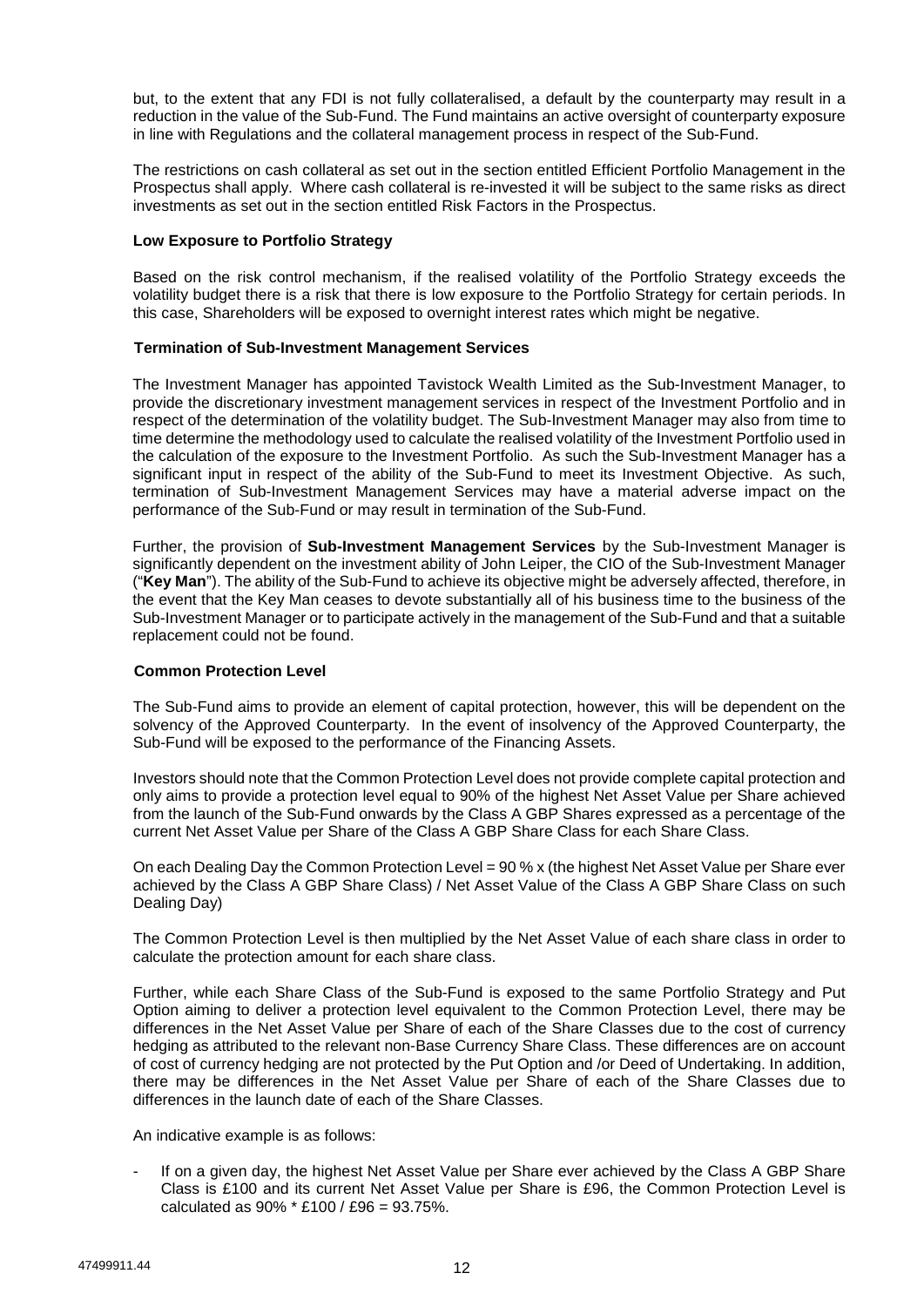but, to the extent that any FDI is not fully collateralised, a default by the counterparty may result in a reduction in the value of the Sub-Fund. The Fund maintains an active oversight of counterparty exposure in line with Regulations and the collateral management process in respect of the Sub-Fund.

The restrictions on cash collateral as set out in the section entitled Efficient Portfolio Management in the Prospectus shall apply. Where cash collateral is re-invested it will be subject to the same risks as direct investments as set out in the section entitled Risk Factors in the Prospectus.

## **Low Exposure to Portfolio Strategy**

Based on the risk control mechanism, if the realised volatility of the Portfolio Strategy exceeds the volatility budget there is a risk that there is low exposure to the Portfolio Strategy for certain periods. In this case, Shareholders will be exposed to overnight interest rates which might be negative.

### **Termination of Sub-Investment Management Services**

The Investment Manager has appointed Tavistock Wealth Limited as the Sub-Investment Manager, to provide the discretionary investment management services in respect of the Investment Portfolio and in respect of the determination of the volatility budget. The Sub-Investment Manager may also from time to time determine the methodology used to calculate the realised volatility of the Investment Portfolio used in the calculation of the exposure to the Investment Portfolio. As such the Sub-Investment Manager has a significant input in respect of the ability of the Sub-Fund to meet its Investment Objective. As such, termination of Sub-Investment Management Services may have a material adverse impact on the performance of the Sub-Fund or may result in termination of the Sub-Fund.

Further, the provision of **Sub-Investment Management Services** by the Sub-Investment Manager is significantly dependent on the investment ability of John Leiper, the CIO of the Sub-Investment Manager ("**Key Man**"). The ability of the Sub-Fund to achieve its objective might be adversely affected, therefore, in the event that the Key Man ceases to devote substantially all of his business time to the business of the Sub-Investment Manager or to participate actively in the management of the Sub-Fund and that a suitable replacement could not be found.

#### **Common Protection Level**

The Sub-Fund aims to provide an element of capital protection, however, this will be dependent on the solvency of the Approved Counterparty. In the event of insolvency of the Approved Counterparty, the Sub-Fund will be exposed to the performance of the Financing Assets.

Investors should note that the Common Protection Level does not provide complete capital protection and only aims to provide a protection level equal to 90% of the highest Net Asset Value per Share achieved from the launch of the Sub-Fund onwards by the Class A GBP Shares expressed as a percentage of the current Net Asset Value per Share of the Class A GBP Share Class for each Share Class.

On each Dealing Day the Common Protection Level = 90 % x (the highest Net Asset Value per Share ever achieved by the Class A GBP Share Class) / Net Asset Value of the Class A GBP Share Class on such Dealing Day)

The Common Protection Level is then multiplied by the Net Asset Value of each share class in order to calculate the protection amount for each share class.

Further, while each Share Class of the Sub-Fund is exposed to the same Portfolio Strategy and Put Option aiming to deliver a protection level equivalent to the Common Protection Level, there may be differences in the Net Asset Value per Share of each of the Share Classes due to the cost of currency hedging as attributed to the relevant non-Base Currency Share Class. These differences are on account of cost of currency hedging are not protected by the Put Option and /or Deed of Undertaking. In addition, there may be differences in the Net Asset Value per Share of each of the Share Classes due to differences in the launch date of each of the Share Classes.

An indicative example is as follows:

If on a given day, the highest Net Asset Value per Share ever achieved by the Class A GBP Share Class is £100 and its current Net Asset Value per Share is £96, the Common Protection Level is calculated as 90% \* £100 / £96 = 93.75%.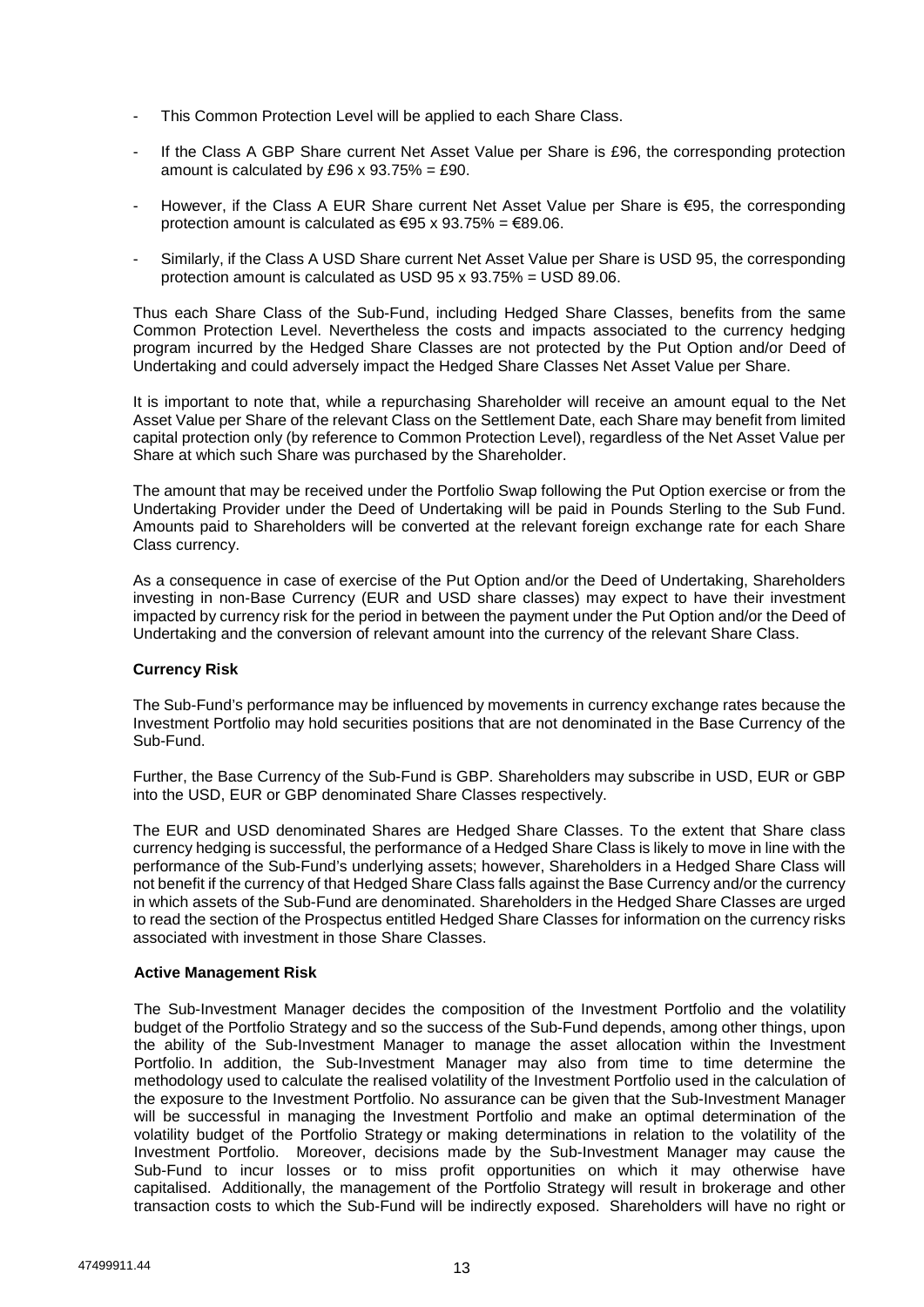- This Common Protection Level will be applied to each Share Class.
- If the Class A GBP Share current Net Asset Value per Share is £96, the corresponding protection amount is calculated by £96 x  $93.75\% = £90$ .
- However, if the Class A EUR Share current Net Asset Value per Share is €95, the corresponding protection amount is calculated as  $\text{\textsterling}95 \times 93.75\% = \text{\textsterling}89.06$ .
- Similarly, if the Class A USD Share current Net Asset Value per Share is USD 95, the corresponding protection amount is calculated as USD 95 x 93.75% = USD 89.06.

Thus each Share Class of the Sub-Fund, including Hedged Share Classes, benefits from the same Common Protection Level. Nevertheless the costs and impacts associated to the currency hedging program incurred by the Hedged Share Classes are not protected by the Put Option and/or Deed of Undertaking and could adversely impact the Hedged Share Classes Net Asset Value per Share.

It is important to note that, while a repurchasing Shareholder will receive an amount equal to the Net Asset Value per Share of the relevant Class on the Settlement Date, each Share may benefit from limited capital protection only (by reference to Common Protection Level), regardless of the Net Asset Value per Share at which such Share was purchased by the Shareholder.

The amount that may be received under the Portfolio Swap following the Put Option exercise or from the Undertaking Provider under the Deed of Undertaking will be paid in Pounds Sterling to the Sub Fund. Amounts paid to Shareholders will be converted at the relevant foreign exchange rate for each Share Class currency.

As a consequence in case of exercise of the Put Option and/or the Deed of Undertaking, Shareholders investing in non-Base Currency (EUR and USD share classes) may expect to have their investment impacted by currency risk for the period in between the payment under the Put Option and/or the Deed of Undertaking and the conversion of relevant amount into the currency of the relevant Share Class.

## **Currency Risk**

The Sub-Fund's performance may be influenced by movements in currency exchange rates because the Investment Portfolio may hold securities positions that are not denominated in the Base Currency of the Sub-Fund.

Further, the Base Currency of the Sub-Fund is GBP. Shareholders may subscribe in USD, EUR or GBP into the USD, EUR or GBP denominated Share Classes respectively.

The EUR and USD denominated Shares are Hedged Share Classes. To the extent that Share class currency hedging is successful, the performance of a Hedged Share Class is likely to move in line with the performance of the Sub-Fund's underlying assets; however, Shareholders in a Hedged Share Class will not benefit if the currency of that Hedged Share Class falls against the Base Currency and/or the currency in which assets of the Sub-Fund are denominated. Shareholders in the Hedged Share Classes are urged to read the section of the Prospectus entitled Hedged Share Classes for information on the currency risks associated with investment in those Share Classes.

#### **Active Management Risk**

The Sub-Investment Manager decides the composition of the Investment Portfolio and the volatility budget of the Portfolio Strategy and so the success of the Sub-Fund depends, among other things, upon the ability of the Sub-Investment Manager to manage the asset allocation within the Investment Portfolio. In addition, the Sub-Investment Manager may also from time to time determine the methodology used to calculate the realised volatility of the Investment Portfolio used in the calculation of the exposure to the Investment Portfolio. No assurance can be given that the Sub-Investment Manager will be successful in managing the Investment Portfolio and make an optimal determination of the volatility budget of the Portfolio Strategy or making determinations in relation to the volatility of the Investment Portfolio. Moreover, decisions made by the Sub-Investment Manager may cause the Sub-Fund to incur losses or to miss profit opportunities on which it may otherwise have capitalised. Additionally, the management of the Portfolio Strategy will result in brokerage and other transaction costs to which the Sub-Fund will be indirectly exposed. Shareholders will have no right or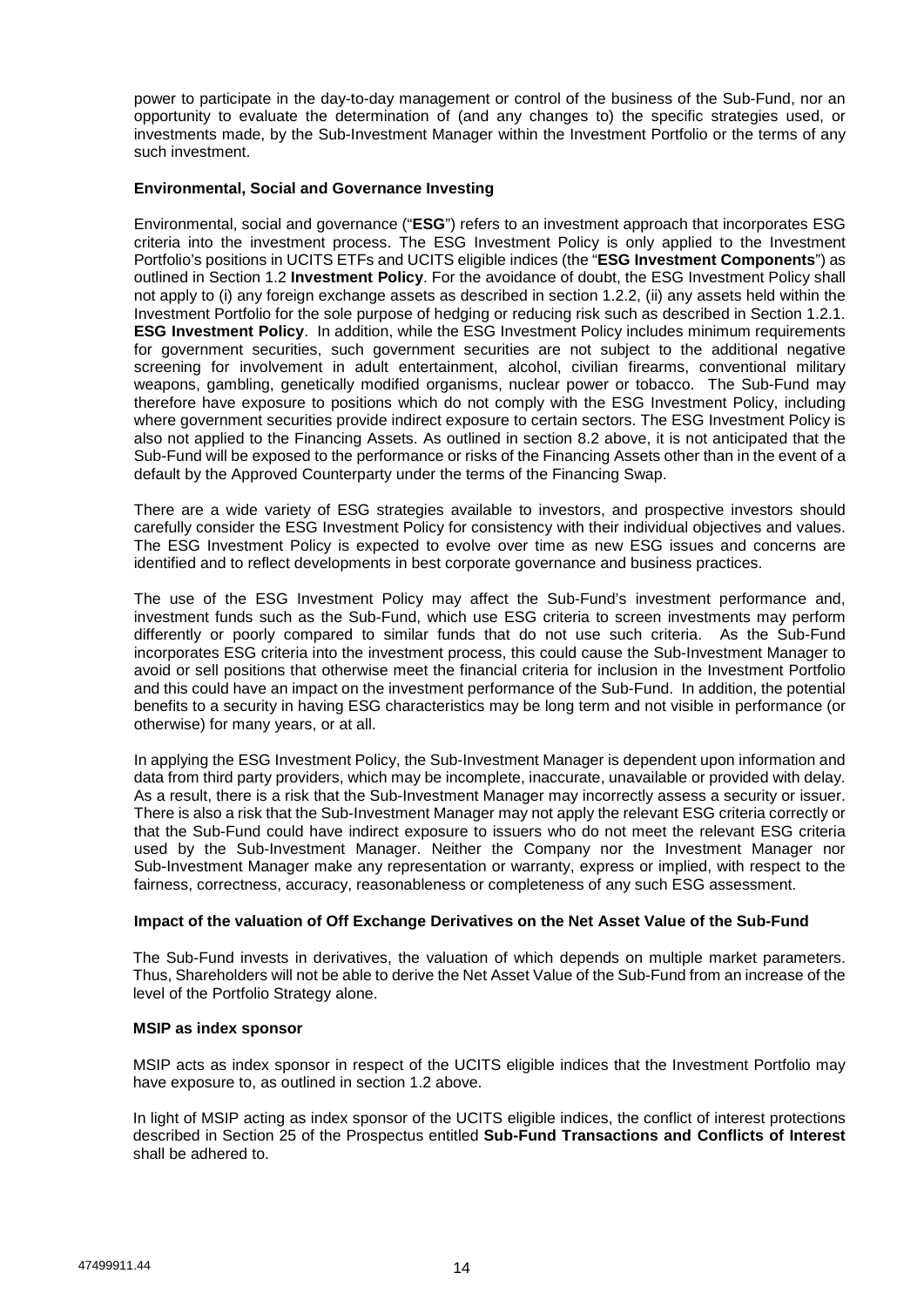power to participate in the day-to-day management or control of the business of the Sub-Fund, nor an opportunity to evaluate the determination of (and any changes to) the specific strategies used, or investments made, by the Sub-Investment Manager within the Investment Portfolio or the terms of any such investment.

### **Environmental, Social and Governance Investing**

Environmental, social and governance ("**ESG**") refers to an investment approach that incorporates ESG criteria into the investment process. The ESG Investment Policy is only applied to the Investment Portfolio's positions in UCITS ETFs and UCITS eligible indices (the "**ESG Investment Components**") as outlined in Section 1.2 **Investment Policy**. For the avoidance of doubt, the ESG Investment Policy shall not apply to (i) any foreign exchange assets as described in section 1.2.2, (ii) any assets held within the Investment Portfolio for the sole purpose of hedging or reducing risk such as described in Section 1.2.1. **ESG Investment Policy**. In addition, while the ESG Investment Policy includes minimum requirements for government securities, such government securities are not subject to the additional negative screening for involvement in adult entertainment, alcohol, civilian firearms, conventional military weapons, gambling, genetically modified organisms, nuclear power or tobacco. The Sub-Fund may therefore have exposure to positions which do not comply with the ESG Investment Policy, including where government securities provide indirect exposure to certain sectors. The ESG Investment Policy is also not applied to the Financing Assets. As outlined in section 8.2 above, it is not anticipated that the Sub-Fund will be exposed to the performance or risks of the Financing Assets other than in the event of a default by the Approved Counterparty under the terms of the Financing Swap.

There are a wide variety of ESG strategies available to investors, and prospective investors should carefully consider the ESG Investment Policy for consistency with their individual objectives and values. The ESG Investment Policy is expected to evolve over time as new ESG issues and concerns are identified and to reflect developments in best corporate governance and business practices.

The use of the ESG Investment Policy may affect the Sub-Fund's investment performance and, investment funds such as the Sub-Fund, which use ESG criteria to screen investments may perform differently or poorly compared to similar funds that do not use such criteria. As the Sub-Fund incorporates ESG criteria into the investment process, this could cause the Sub-Investment Manager to avoid or sell positions that otherwise meet the financial criteria for inclusion in the Investment Portfolio and this could have an impact on the investment performance of the Sub-Fund. In addition, the potential benefits to a security in having ESG characteristics may be long term and not visible in performance (or otherwise) for many years, or at all.

In applying the ESG Investment Policy, the Sub-Investment Manager is dependent upon information and data from third party providers, which may be incomplete, inaccurate, unavailable or provided with delay. As a result, there is a risk that the Sub-Investment Manager may incorrectly assess a security or issuer. There is also a risk that the Sub-Investment Manager may not apply the relevant ESG criteria correctly or that the Sub-Fund could have indirect exposure to issuers who do not meet the relevant ESG criteria used by the Sub-Investment Manager. Neither the Company nor the Investment Manager nor Sub-Investment Manager make any representation or warranty, express or implied, with respect to the fairness, correctness, accuracy, reasonableness or completeness of any such ESG assessment.

## **Impact of the valuation of Off Exchange Derivatives on the Net Asset Value of the Sub-Fund**

The Sub-Fund invests in derivatives, the valuation of which depends on multiple market parameters. Thus, Shareholders will not be able to derive the Net Asset Value of the Sub-Fund from an increase of the level of the Portfolio Strategy alone.

#### **MSIP as index sponsor**

MSIP acts as index sponsor in respect of the UCITS eligible indices that the Investment Portfolio may have exposure to, as outlined in section 1.2 above.

In light of MSIP acting as index sponsor of the UCITS eligible indices, the conflict of interest protections described in Section 25 of the Prospectus entitled **Sub-Fund Transactions and Conflicts of Interest** shall be adhered to.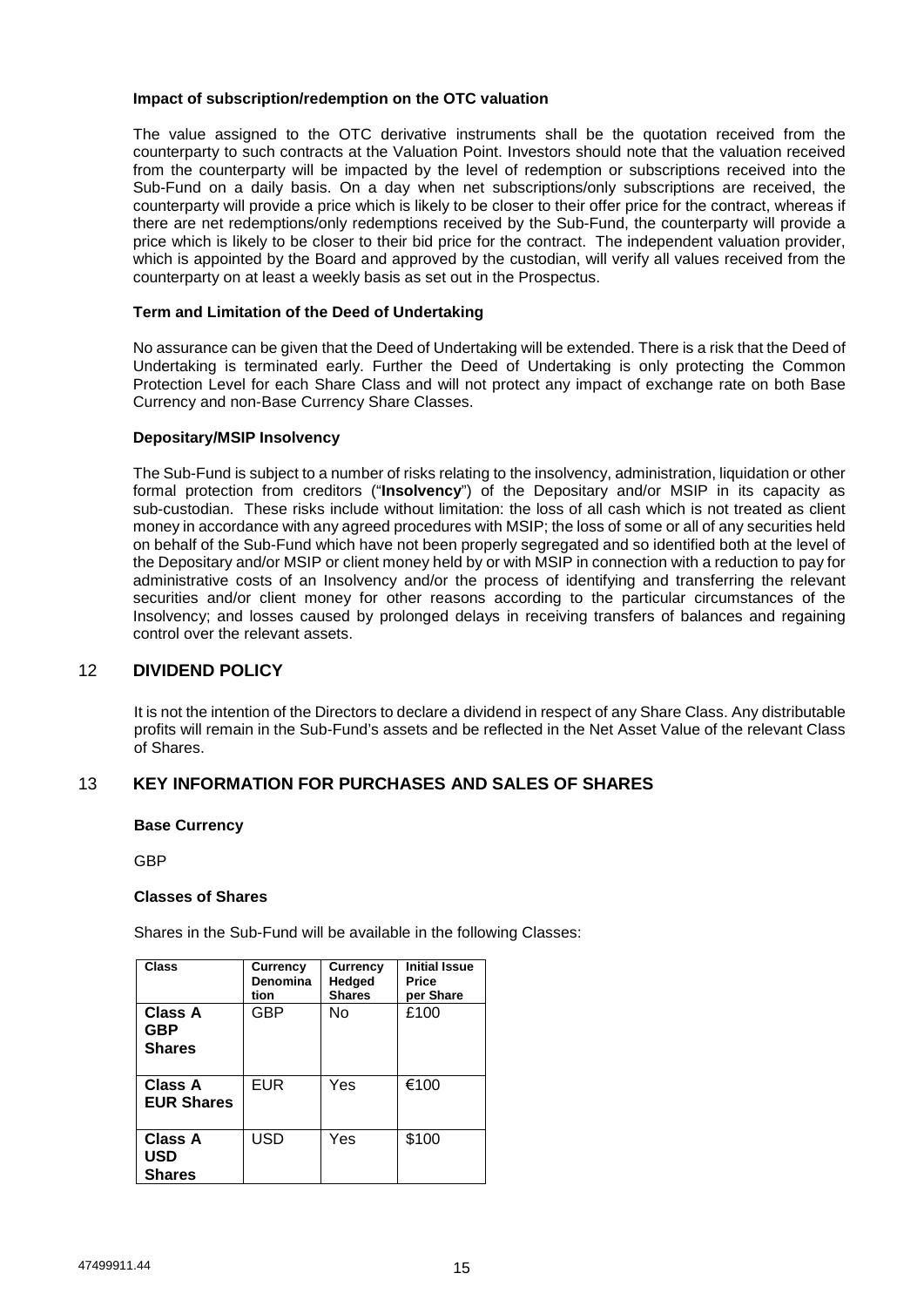### **Impact of subscription/redemption on the OTC valuation**

The value assigned to the OTC derivative instruments shall be the quotation received from the counterparty to such contracts at the Valuation Point. Investors should note that the valuation received from the counterparty will be impacted by the level of redemption or subscriptions received into the Sub-Fund on a daily basis. On a day when net subscriptions/only subscriptions are received, the counterparty will provide a price which is likely to be closer to their offer price for the contract, whereas if there are net redemptions/only redemptions received by the Sub-Fund, the counterparty will provide a price which is likely to be closer to their bid price for the contract. The independent valuation provider, which is appointed by the Board and approved by the custodian, will verify all values received from the counterparty on at least a weekly basis as set out in the Prospectus.

## **Term and Limitation of the Deed of Undertaking**

No assurance can be given that the Deed of Undertaking will be extended. There is a risk that the Deed of Undertaking is terminated early. Further the Deed of Undertaking is only protecting the Common Protection Level for each Share Class and will not protect any impact of exchange rate on both Base Currency and non-Base Currency Share Classes.

### **Depositary/MSIP Insolvency**

The Sub-Fund is subject to a number of risks relating to the insolvency, administration, liquidation or other formal protection from creditors ("**Insolvency**") of the Depositary and/or MSIP in its capacity as sub-custodian. These risks include without limitation: the loss of all cash which is not treated as client money in accordance with any agreed procedures with MSIP; the loss of some or all of any securities held on behalf of the Sub-Fund which have not been properly segregated and so identified both at the level of the Depositary and/or MSIP or client money held by or with MSIP in connection with a reduction to pay for administrative costs of an Insolvency and/or the process of identifying and transferring the relevant securities and/or client money for other reasons according to the particular circumstances of the Insolvency; and losses caused by prolonged delays in receiving transfers of balances and regaining control over the relevant assets.

# 12 **DIVIDEND POLICY**

It is not the intention of the Directors to declare a dividend in respect of any Share Class. Any distributable profits will remain in the Sub-Fund's assets and be reflected in the Net Asset Value of the relevant Class of Shares.

# 13 **KEY INFORMATION FOR PURCHASES AND SALES OF SHARES**

#### **Base Currency**

GBP

#### **Classes of Shares**

Shares in the Sub-Fund will be available in the following Classes:

| Class                                  | <b>Currency</b><br>Denomina<br>tion | <b>Currency</b><br>Hedged<br><b>Shares</b> | <b>Initial Issue</b><br>Price<br>per Share |
|----------------------------------------|-------------------------------------|--------------------------------------------|--------------------------------------------|
| Class A<br><b>GBP</b><br><b>Shares</b> | GBP                                 | Nο                                         | £100                                       |
| Class A<br><b>EUR Shares</b>           | <b>EUR</b>                          | Yes                                        | €100                                       |
| <b>Class A</b><br>USD<br><b>Shares</b> | USD                                 | Yes                                        | \$100                                      |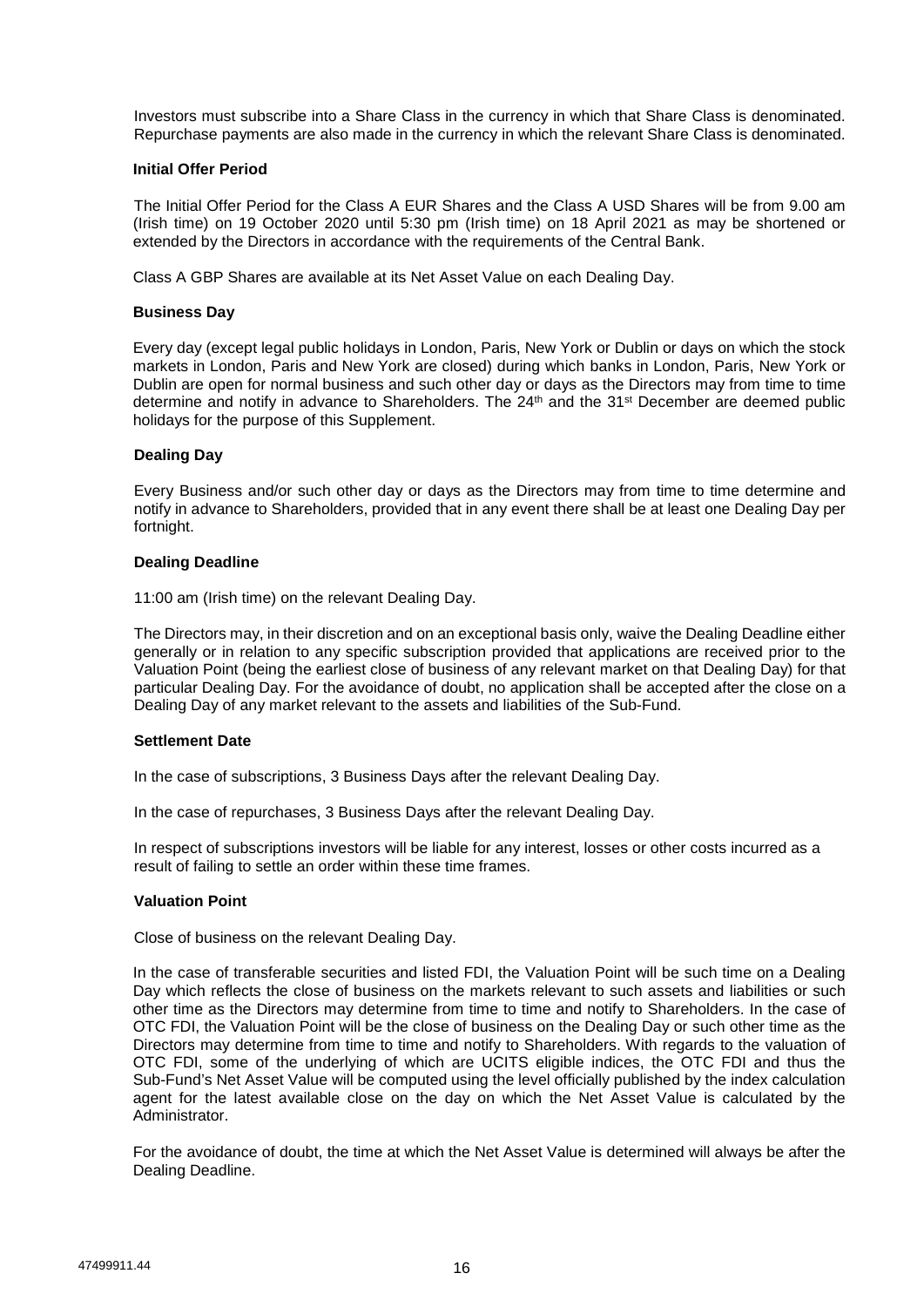Investors must subscribe into a Share Class in the currency in which that Share Class is denominated. Repurchase payments are also made in the currency in which the relevant Share Class is denominated.

#### **Initial Offer Period**

 The Initial Offer Period for the Class A EUR Shares and the Class A USD Shares will be from 9.00 am (Irish time) on 19 October 2020 until 5:30 pm (Irish time) on 18 April 2021 as may be shortened or extended by the Directors in accordance with the requirements of the Central Bank.

Class A GBP Shares are available at its Net Asset Value on each Dealing Day.

### **Business Day**

Every day (except legal public holidays in London, Paris, New York or Dublin or days on which the stock markets in London, Paris and New York are closed) during which banks in London, Paris, New York or Dublin are open for normal business and such other day or days as the Directors may from time to time determine and notify in advance to Shareholders. The 24<sup>th</sup> and the 31<sup>st</sup> December are deemed public holidays for the purpose of this Supplement.

### **Dealing Day**

Every Business and/or such other day or days as the Directors may from time to time determine and notify in advance to Shareholders, provided that in any event there shall be at least one Dealing Day per fortnight.

### **Dealing Deadline**

11:00 am (Irish time) on the relevant Dealing Day.

The Directors may, in their discretion and on an exceptional basis only, waive the Dealing Deadline either generally or in relation to any specific subscription provided that applications are received prior to the Valuation Point (being the earliest close of business of any relevant market on that Dealing Day) for that particular Dealing Day. For the avoidance of doubt, no application shall be accepted after the close on a Dealing Day of any market relevant to the assets and liabilities of the Sub-Fund.

#### **Settlement Date**

In the case of subscriptions, 3 Business Days after the relevant Dealing Day.

In the case of repurchases, 3 Business Days after the relevant Dealing Day.

In respect of subscriptions investors will be liable for any interest, losses or other costs incurred as a result of failing to settle an order within these time frames.

#### **Valuation Point**

Close of business on the relevant Dealing Day.

In the case of transferable securities and listed FDI, the Valuation Point will be such time on a Dealing Day which reflects the close of business on the markets relevant to such assets and liabilities or such other time as the Directors may determine from time to time and notify to Shareholders. In the case of OTC FDI, the Valuation Point will be the close of business on the Dealing Day or such other time as the Directors may determine from time to time and notify to Shareholders. With regards to the valuation of OTC FDI, some of the underlying of which are UCITS eligible indices, the OTC FDI and thus the Sub-Fund's Net Asset Value will be computed using the level officially published by the index calculation agent for the latest available close on the day on which the Net Asset Value is calculated by the Administrator.

For the avoidance of doubt, the time at which the Net Asset Value is determined will always be after the Dealing Deadline.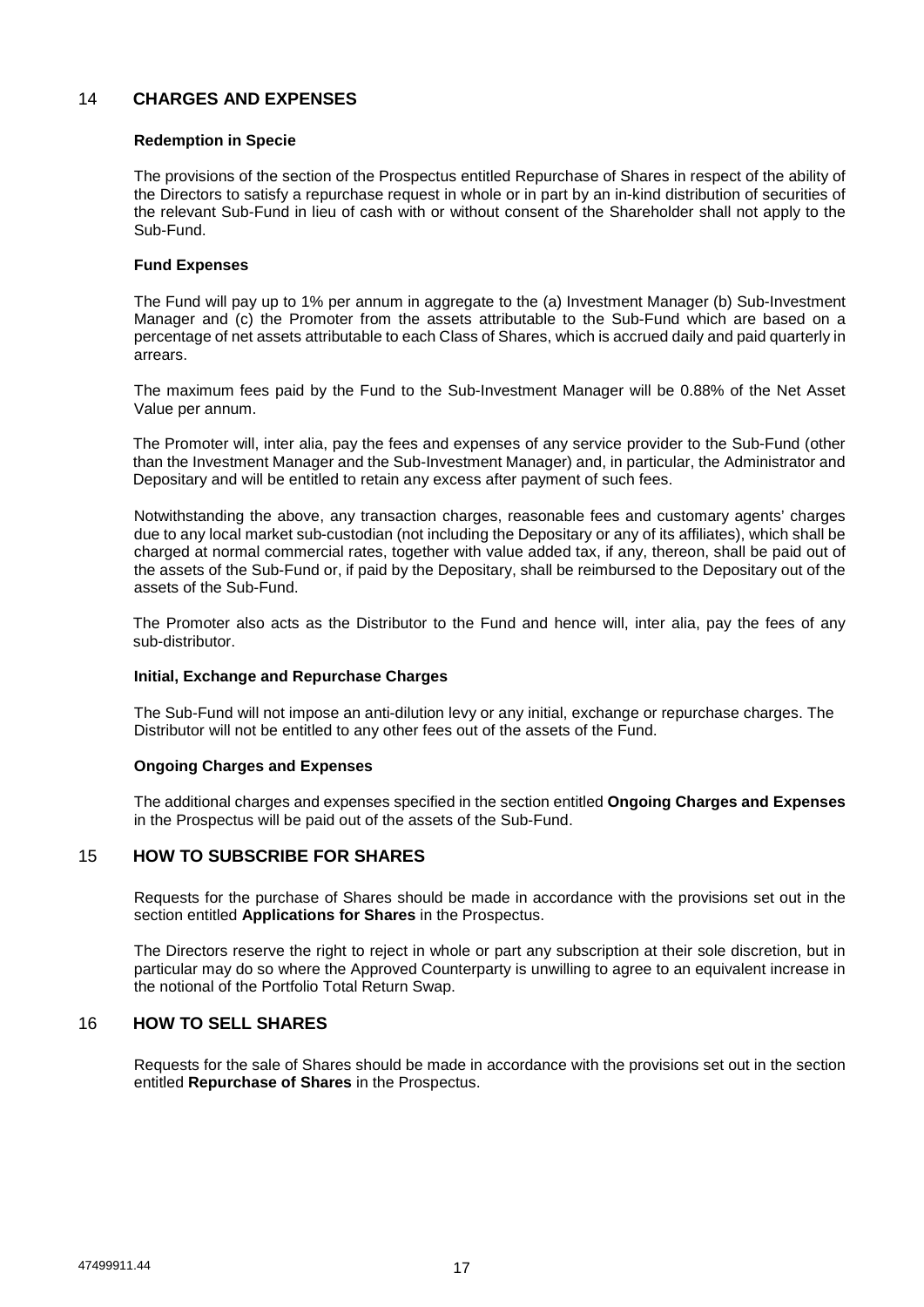# 14 **CHARGES AND EXPENSES**

### **Redemption in Specie**

The provisions of the section of the Prospectus entitled Repurchase of Shares in respect of the ability of the Directors to satisfy a repurchase request in whole or in part by an in-kind distribution of securities of the relevant Sub-Fund in lieu of cash with or without consent of the Shareholder shall not apply to the Sub-Fund.

## **Fund Expenses**

The Fund will pay up to 1% per annum in aggregate to the (a) Investment Manager (b) Sub-Investment Manager and (c) the Promoter from the assets attributable to the Sub-Fund which are based on a percentage of net assets attributable to each Class of Shares, which is accrued daily and paid quarterly in arrears.

The maximum fees paid by the Fund to the Sub-Investment Manager will be 0.88% of the Net Asset Value per annum.

The Promoter will, inter alia, pay the fees and expenses of any service provider to the Sub-Fund (other than the Investment Manager and the Sub-Investment Manager) and, in particular, the Administrator and Depositary and will be entitled to retain any excess after payment of such fees.

Notwithstanding the above, any transaction charges, reasonable fees and customary agents' charges due to any local market sub-custodian (not including the Depositary or any of its affiliates), which shall be charged at normal commercial rates, together with value added tax, if any, thereon, shall be paid out of the assets of the Sub-Fund or, if paid by the Depositary, shall be reimbursed to the Depositary out of the assets of the Sub-Fund.

The Promoter also acts as the Distributor to the Fund and hence will, inter alia, pay the fees of any sub-distributor.

#### **Initial, Exchange and Repurchase Charges**

The Sub-Fund will not impose an anti-dilution levy or any initial, exchange or repurchase charges. The Distributor will not be entitled to any other fees out of the assets of the Fund.

#### **Ongoing Charges and Expenses**

The additional charges and expenses specified in the section entitled **Ongoing Charges and Expenses** in the Prospectus will be paid out of the assets of the Sub-Fund.

## 15 **HOW TO SUBSCRIBE FOR SHARES**

Requests for the purchase of Shares should be made in accordance with the provisions set out in the section entitled **Applications for Shares** in the Prospectus.

The Directors reserve the right to reject in whole or part any subscription at their sole discretion, but in particular may do so where the Approved Counterparty is unwilling to agree to an equivalent increase in the notional of the Portfolio Total Return Swap.

## 16 **HOW TO SELL SHARES**

Requests for the sale of Shares should be made in accordance with the provisions set out in the section entitled **Repurchase of Shares** in the Prospectus.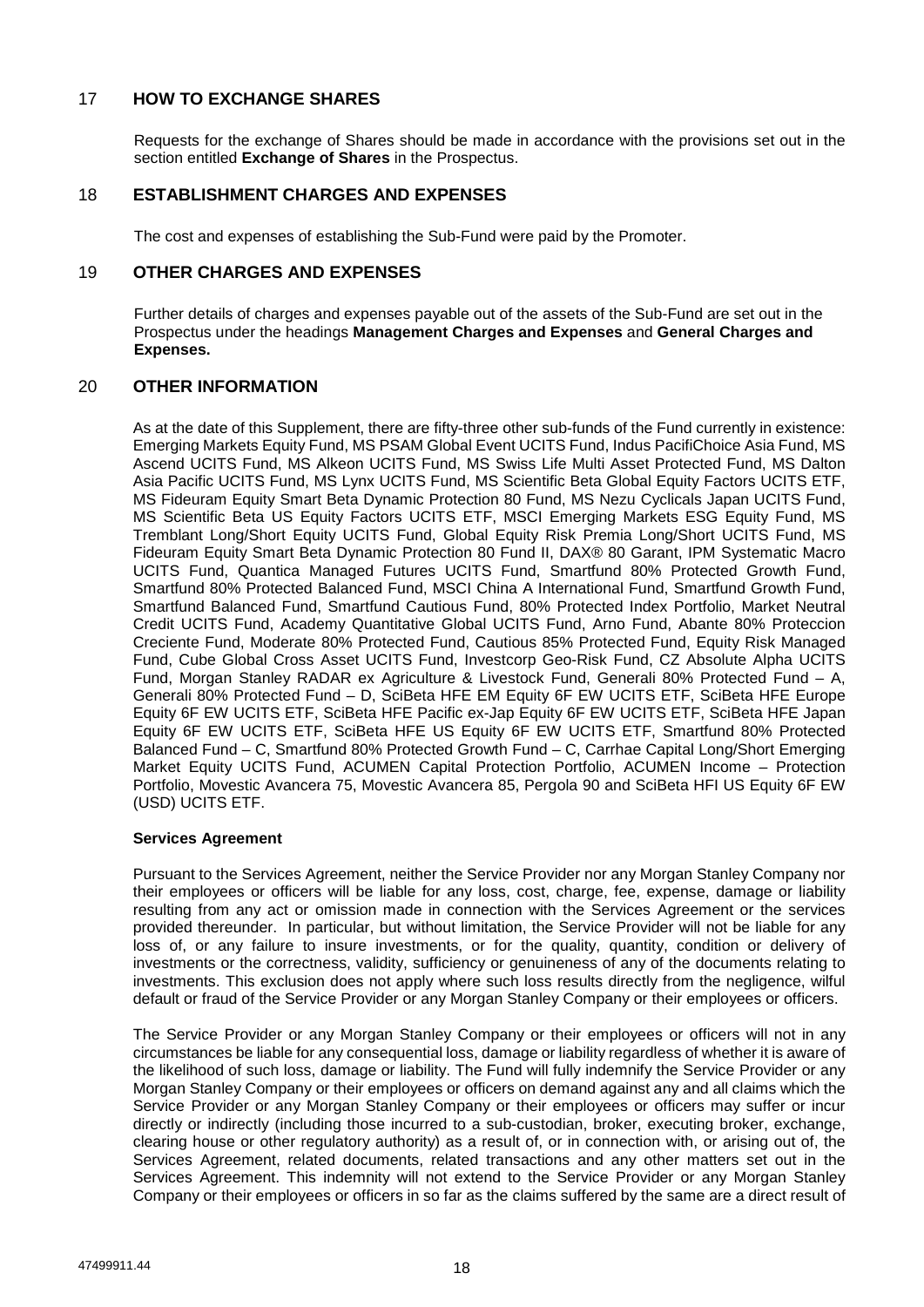# 17 **HOW TO EXCHANGE SHARES**

Requests for the exchange of Shares should be made in accordance with the provisions set out in the section entitled **Exchange of Shares** in the Prospectus.

# 18 **ESTABLISHMENT CHARGES AND EXPENSES**

The cost and expenses of establishing the Sub-Fund were paid by the Promoter.

## 19 **OTHER CHARGES AND EXPENSES**

Further details of charges and expenses payable out of the assets of the Sub-Fund are set out in the Prospectus under the headings **Management Charges and Expenses** and **General Charges and Expenses.** 

# 20 **OTHER INFORMATION**

As at the date of this Supplement, there are fifty-three other sub-funds of the Fund currently in existence: Emerging Markets Equity Fund, MS PSAM Global Event UCITS Fund, Indus PacifiChoice Asia Fund, MS Ascend UCITS Fund, MS Alkeon UCITS Fund, MS Swiss Life Multi Asset Protected Fund, MS Dalton Asia Pacific UCITS Fund, MS Lynx UCITS Fund, MS Scientific Beta Global Equity Factors UCITS ETF, MS Fideuram Equity Smart Beta Dynamic Protection 80 Fund, MS Nezu Cyclicals Japan UCITS Fund, MS Scientific Beta US Equity Factors UCITS ETF, MSCI Emerging Markets ESG Equity Fund, MS Tremblant Long/Short Equity UCITS Fund, Global Equity Risk Premia Long/Short UCITS Fund, MS Fideuram Equity Smart Beta Dynamic Protection 80 Fund II, DAX® 80 Garant, IPM Systematic Macro UCITS Fund, Quantica Managed Futures UCITS Fund, Smartfund 80% Protected Growth Fund, Smartfund 80% Protected Balanced Fund, MSCI China A International Fund, Smartfund Growth Fund, Smartfund Balanced Fund, Smartfund Cautious Fund, 80% Protected Index Portfolio, Market Neutral Credit UCITS Fund, Academy Quantitative Global UCITS Fund, Arno Fund, Abante 80% Proteccion Creciente Fund, Moderate 80% Protected Fund, Cautious 85% Protected Fund, Equity Risk Managed Fund, Cube Global Cross Asset UCITS Fund, Investcorp Geo-Risk Fund, CZ Absolute Alpha UCITS Fund, Morgan Stanley RADAR ex Agriculture & Livestock Fund, Generali 80% Protected Fund – A, Generali 80% Protected Fund – D, SciBeta HFE EM Equity 6F EW UCITS ETF, SciBeta HFE Europe Equity 6F EW UCITS ETF, SciBeta HFE Pacific ex-Jap Equity 6F EW UCITS ETF, SciBeta HFE Japan Equity 6F EW UCITS ETF, SciBeta HFE US Equity 6F EW UCITS ETF, Smartfund 80% Protected Balanced Fund – C, Smartfund 80% Protected Growth Fund – C, Carrhae Capital Long/Short Emerging Market Equity UCITS Fund, ACUMEN Capital Protection Portfolio, ACUMEN Income – Protection Portfolio, Movestic Avancera 75, Movestic Avancera 85, Pergola 90 and SciBeta HFI US Equity 6F EW (USD) UCITS ETF.

#### **Services Agreement**

Pursuant to the Services Agreement, neither the Service Provider nor any Morgan Stanley Company nor their employees or officers will be liable for any loss, cost, charge, fee, expense, damage or liability resulting from any act or omission made in connection with the Services Agreement or the services provided thereunder. In particular, but without limitation, the Service Provider will not be liable for any loss of, or any failure to insure investments, or for the quality, quantity, condition or delivery of investments or the correctness, validity, sufficiency or genuineness of any of the documents relating to investments. This exclusion does not apply where such loss results directly from the negligence, wilful default or fraud of the Service Provider or any Morgan Stanley Company or their employees or officers.

The Service Provider or any Morgan Stanley Company or their employees or officers will not in any circumstances be liable for any consequential loss, damage or liability regardless of whether it is aware of the likelihood of such loss, damage or liability. The Fund will fully indemnify the Service Provider or any Morgan Stanley Company or their employees or officers on demand against any and all claims which the Service Provider or any Morgan Stanley Company or their employees or officers may suffer or incur directly or indirectly (including those incurred to a sub-custodian, broker, executing broker, exchange, clearing house or other regulatory authority) as a result of, or in connection with, or arising out of, the Services Agreement, related documents, related transactions and any other matters set out in the Services Agreement. This indemnity will not extend to the Service Provider or any Morgan Stanley Company or their employees or officers in so far as the claims suffered by the same are a direct result of